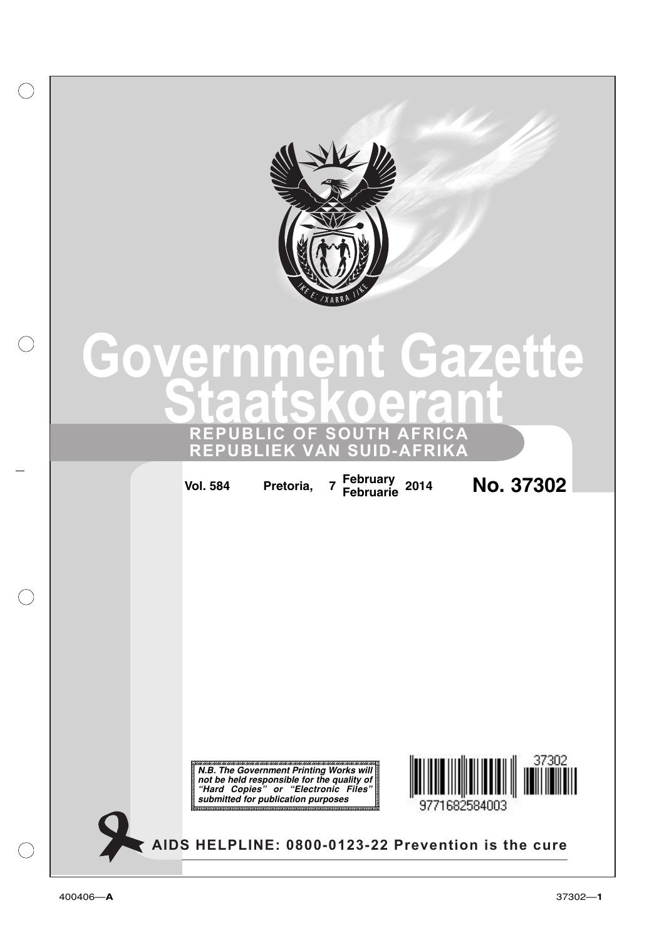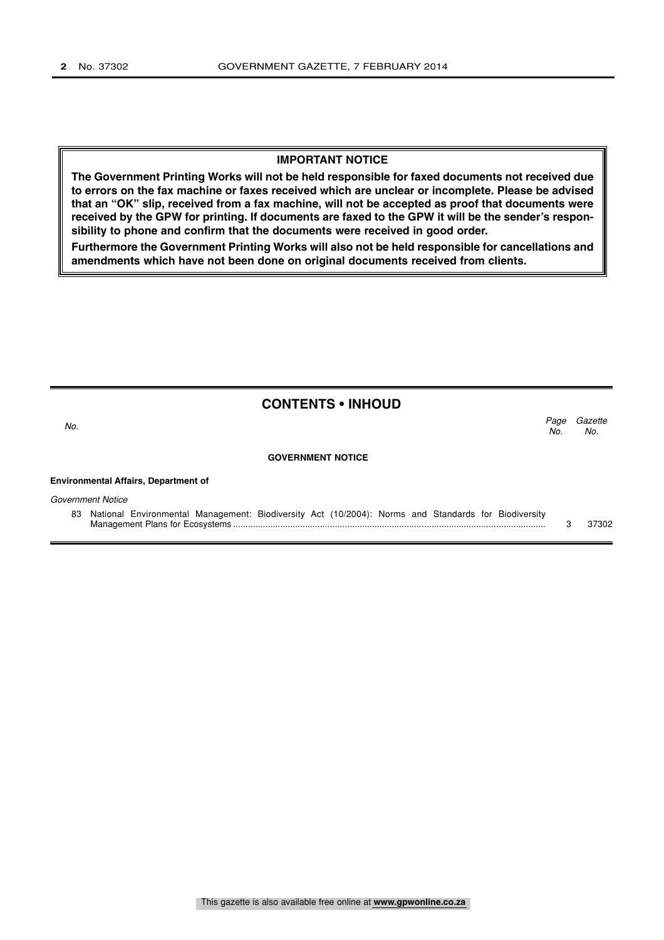#### **IMPORTANT NOTICE**

**The Government Printing Works will not be held responsible for faxed documents not received due to errors on the fax machine or faxes received which are unclear or incomplete. Please be advised that an "OK" slip, received from a fax machine, will not be accepted as proof that documents were received by the GPW for printing. If documents are faxed to the GPW it will be the sender's responsibility to phone and confirm that the documents were received in good order.**

**Furthermore the Government Printing Works will also not be held responsible for cancellations and amendments which have not been done on original documents received from clients.**

| <b>CONTENTS • INHOUD</b> |  |
|--------------------------|--|
|--------------------------|--|

Page Gazette No. No.  $\sim$  No.

#### **GOVERNMENT NOTICE**

#### **Environmental Affairs, Department of**

Government Notice

83 National Environmental Management: Biodiversity Act (10/2004): Norms and Standards for Biodiversity Management Plans for Ecosystems .............................................................................................................................. 3 37302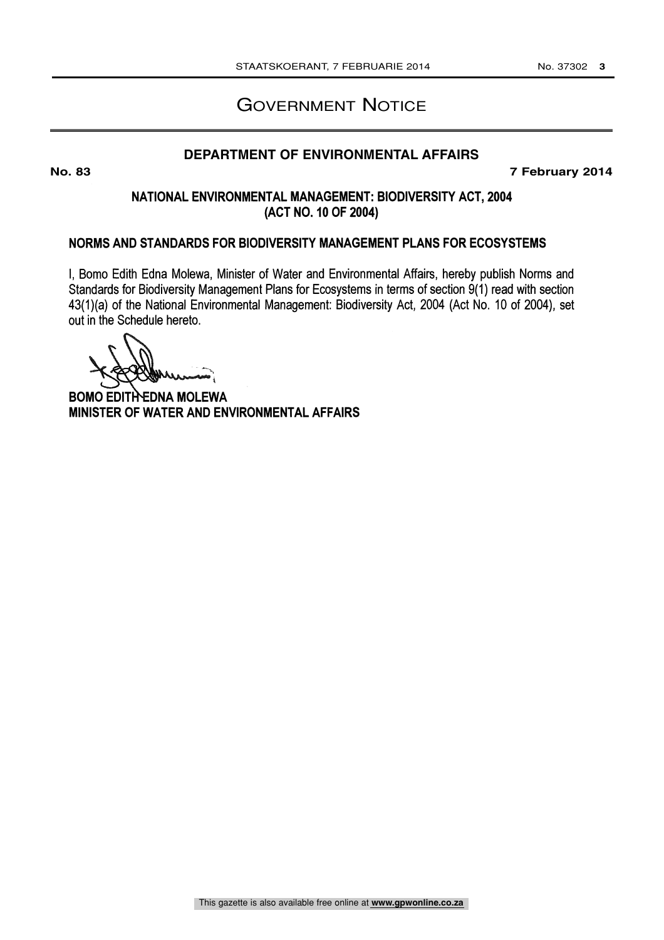### GOVERNMENT NOTICE

#### **DEPARTMENT OF ENVIRONMENTAL AFFAIRS**

**No. 83 7 February 2014**

#### NATIONAL ENVIRONMENTAL MANAGEMENT: BIODIVERSITY ACT, 2004 (ACT NO. 10 OF 2004)

#### NORMS AND STANDARDS FOR BIODIVERSITY MANAGEMENT PLANS FOR ECOSYSTEMS

I, Bomo Edith Edna Molewa, Minister of Water and Environmental Affairs, hereby publish Norms and Standards for Biodiversity Management Plans for Ecosystems in terms of section 9(1) read with section 43(1)(a) of the National Environmental Management: Biodiversity Act, 2004 (Act No. 10 of 2004), set out in the Schedule hereto.

BOMO EDITINEDNA MOLEWA MINISTER OF WATER AND ENVIRONMENTAL AFFAIRS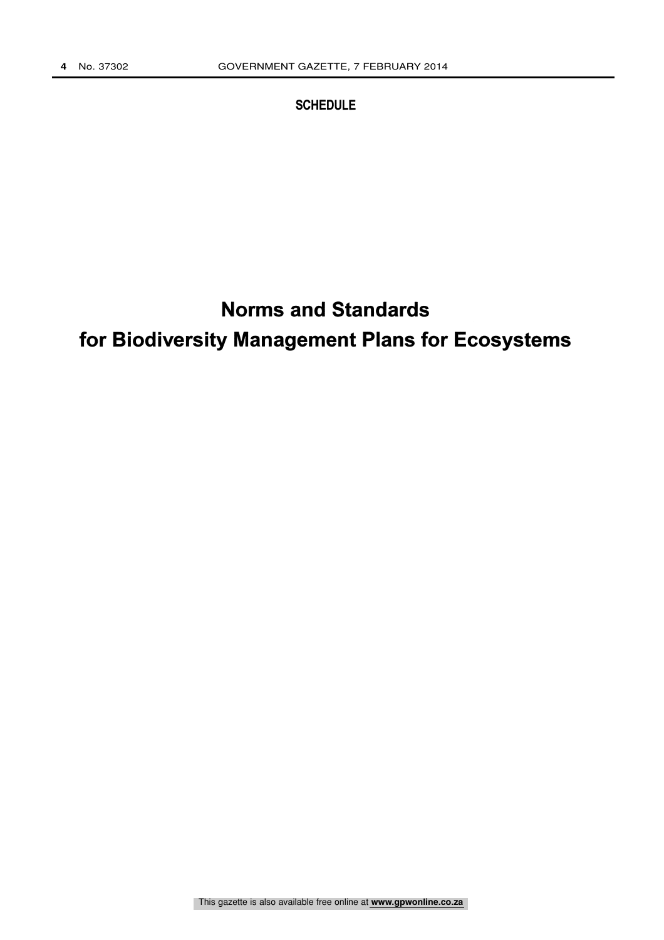### **SCHEDULE**

# Norms and Standards for Biodiversity Management Plans for Ecosystems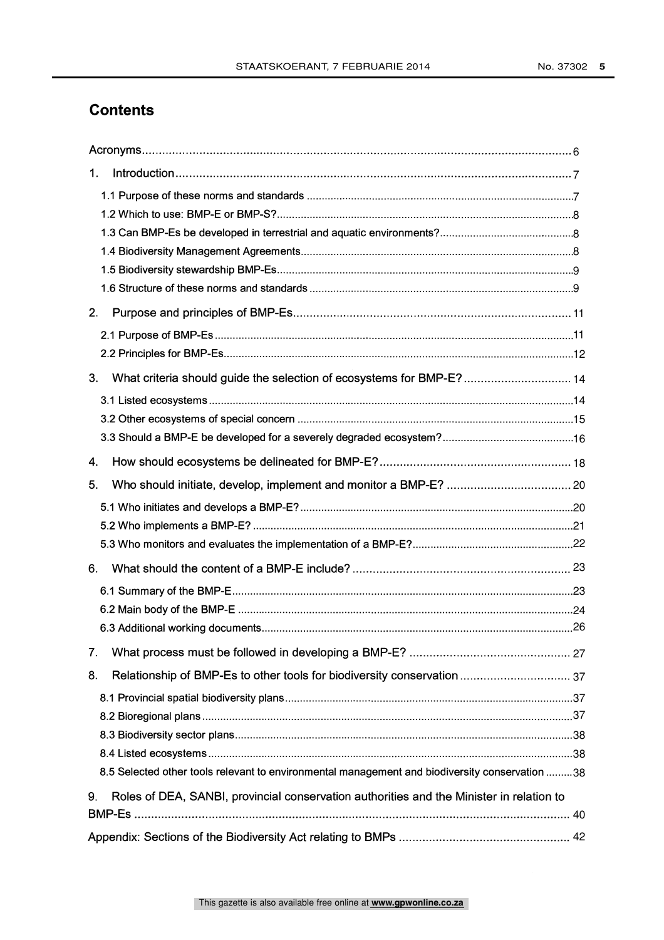### **Contents**

| 1.                                                                                             |  |
|------------------------------------------------------------------------------------------------|--|
|                                                                                                |  |
|                                                                                                |  |
|                                                                                                |  |
|                                                                                                |  |
|                                                                                                |  |
|                                                                                                |  |
| 2.                                                                                             |  |
|                                                                                                |  |
|                                                                                                |  |
| 3.<br>What criteria should guide the selection of ecosystems for BMP-E? 14                     |  |
|                                                                                                |  |
|                                                                                                |  |
|                                                                                                |  |
|                                                                                                |  |
| 4.                                                                                             |  |
| 5.                                                                                             |  |
|                                                                                                |  |
|                                                                                                |  |
|                                                                                                |  |
| 6.                                                                                             |  |
|                                                                                                |  |
|                                                                                                |  |
|                                                                                                |  |
| 7.                                                                                             |  |
| Relationship of BMP-Es to other tools for biodiversity conservation 37<br>8.                   |  |
|                                                                                                |  |
|                                                                                                |  |
|                                                                                                |  |
|                                                                                                |  |
| 8.5 Selected other tools relevant to environmental management and biodiversity conservation 38 |  |
|                                                                                                |  |
| Roles of DEA, SANBI, provincial conservation authorities and the Minister in relation to<br>9. |  |
|                                                                                                |  |
|                                                                                                |  |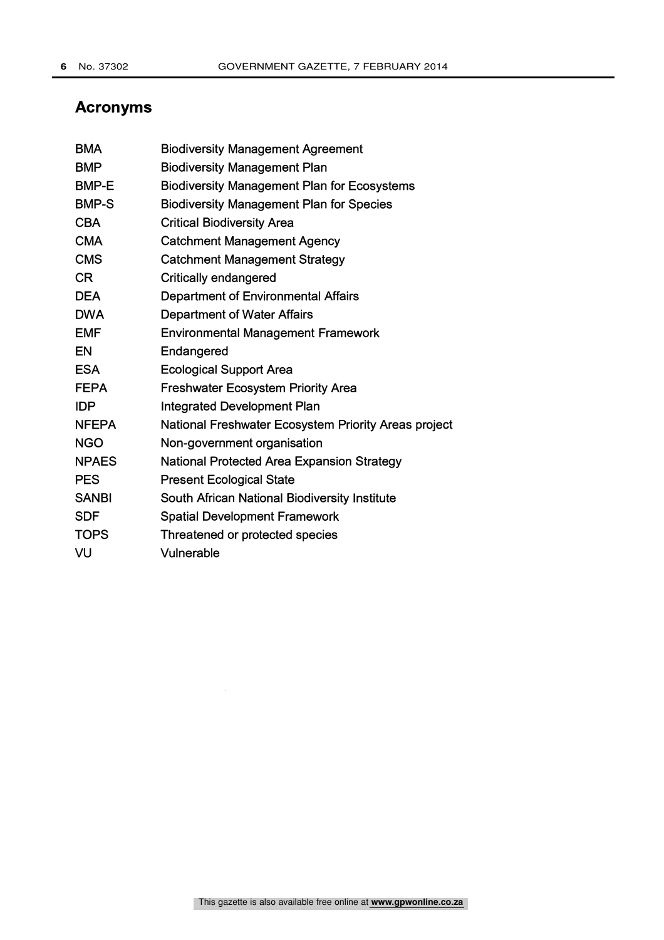## Acronyms

| <b>BMA</b>   | <b>Biodiversity Management Agreement</b>             |
|--------------|------------------------------------------------------|
| <b>BMP</b>   | <b>Biodiversity Management Plan</b>                  |
| <b>BMP-E</b> | <b>Biodiversity Management Plan for Ecosystems</b>   |
| <b>BMP-S</b> | <b>Biodiversity Management Plan for Species</b>      |
| <b>CBA</b>   | <b>Critical Biodiversity Area</b>                    |
| <b>CMA</b>   | <b>Catchment Management Agency</b>                   |
| <b>CMS</b>   | <b>Catchment Management Strategy</b>                 |
| <b>CR</b>    | <b>Critically endangered</b>                         |
| <b>DEA</b>   | <b>Department of Environmental Affairs</b>           |
| <b>DWA</b>   | Department of Water Affairs                          |
| <b>EMF</b>   | <b>Environmental Management Framework</b>            |
| <b>EN</b>    | Endangered                                           |
| ESA          | <b>Ecological Support Area</b>                       |
| <b>FEPA</b>  | <b>Freshwater Ecosystem Priority Area</b>            |
| <b>IDP</b>   | <b>Integrated Development Plan</b>                   |
| <b>NFEPA</b> | National Freshwater Ecosystem Priority Areas project |
| <b>NGO</b>   | Non-government organisation                          |
| <b>NPAES</b> | <b>National Protected Area Expansion Strategy</b>    |
| <b>PES</b>   | <b>Present Ecological State</b>                      |
| <b>SANBI</b> | South African National Biodiversity Institute        |
| <b>SDF</b>   | <b>Spatial Development Framework</b>                 |
| <b>TOPS</b>  | Threatened or protected species                      |
| VU           | Vulnerable                                           |

 $\sim$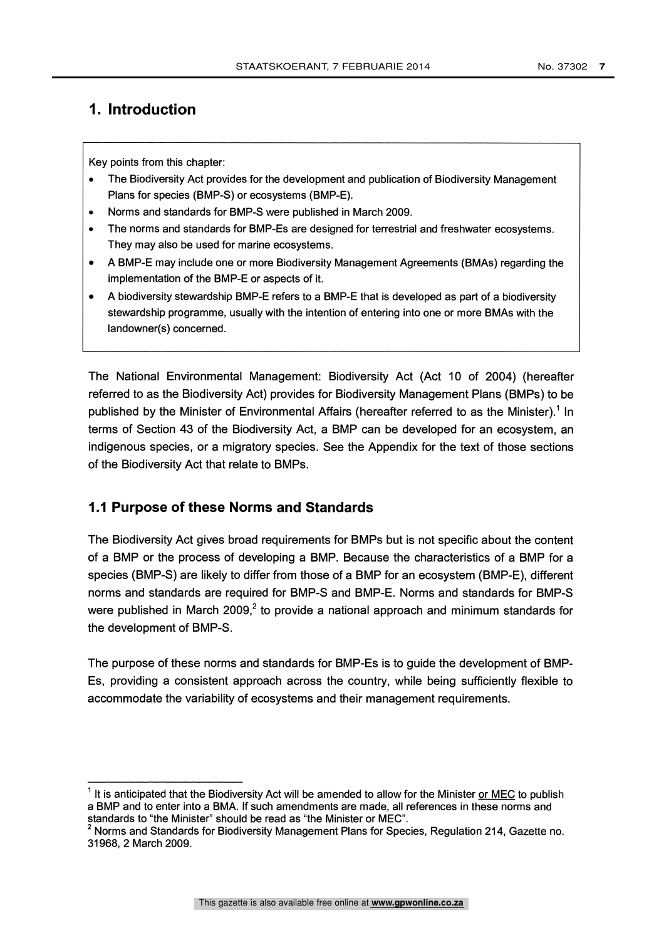### 1. Introduction

Key points from this chapter:

- The Biodiversity Act provides for the development and publication of Biodiversity Management Plans for species (BMP-S) or ecosystems (BMP-E).
- Norms and standards for BMP-S were published in March 2009.
- The norms and standards for BMP-Es are designed for terrestrial and freshwater ecosystems. They may also be used for marine ecosystems.
- A BMP-E may include one or more Biodiversity Management Agreements (BMAs) regarding the implementation of the BMP-E or aspects of it.
- A biodiversity stewardship BMP-E refers to a BMP-E that is developed as part of a biodiversity stewardship programme, usually with the intention of entering into one or more BMAs with the landowner(s) concerned.

The National Environmental Management: Biodiversity Act (Act 10 of 2004) (hereafter referred to as the Biodiversity Act) provides for Biodiversity Management Plans (BMPs) to be published by the Minister of Environmental Affairs (hereafter referred to as the Minister).<sup>1</sup> In terms of Section 43 of the Biodiversity Act, a BMP can be developed for an ecosystem, an indigenous species, or a migratory species. See the Appendix for the text of those sections of the Biodiversity Act that relate to BMPs.

### 1.1 Purpose of these Norms and Standards

The Biodiversity Act gives broad requirements for BMPs but is not specific about the content of a BMP or the process of developing a BMP. Because the characteristics of a BMP for a species (BMP-S) are likely to differ from those of a BMP for an ecosystem (BMP-E), different norms and standards are required for BMP-S and BMP-E. Norms and standards for BMP-S were published in March 2009, $2$  to provide a national approach and minimum standards for the development of BMP-S.

The purpose of these norms and standards for BMP-Es is to guide the development of BMP-Es, providing a consistent approach across the country, while being sufficiently flexible to accommodate the variability of ecosystems and their management requirements.

 $1$  It is anticipated that the Biodiversity Act will be amended to allow for the Minister or MEC to publish a BMP and to enter into a BMA. If such amendments are made, all references in these norms and standards to "the Minister" should be read as "the Minister or MEC".

 $2$  Norms and Standards for Biodiversity Management Plans for Species, Regulation 214, Gazette no. 31968, 2 March 2009.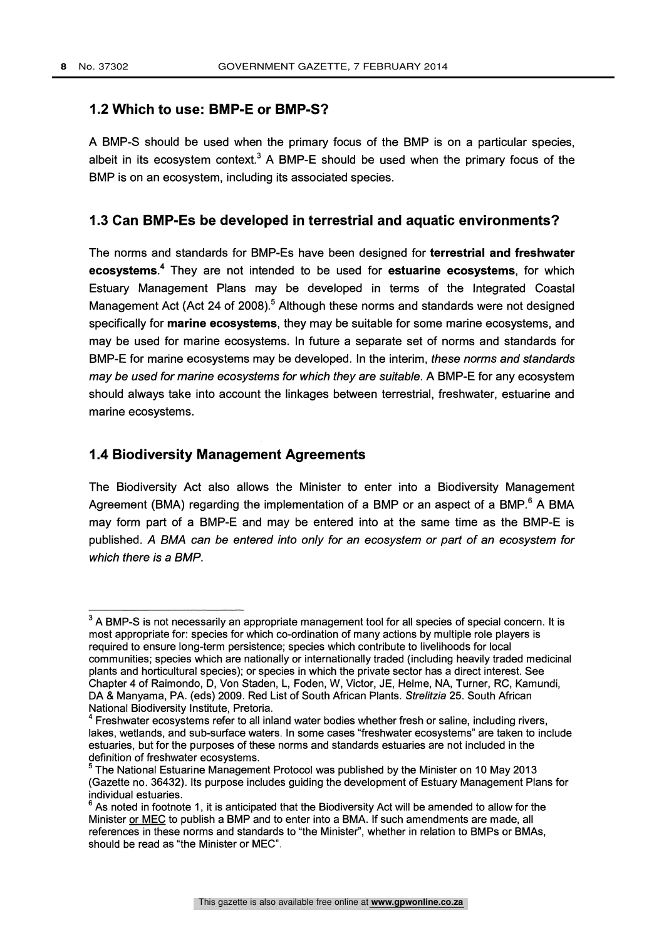#### 1.2 Which to use: BMP-E or BMP-S?

A BMP-S should be used when the primary focus of the BMP is on a particular species, albeit in its ecosystem context. $3$  A BMP-E should be used when the primary focus of the BMP is on an ecosystem, including its associated species.

#### 1.3 Can BMP-Es be developed in terrestrial and aquatic environments?

The norms and standards for BMP-Es have been designed for terrestrial and freshwater ecosystems.<sup>4</sup> They are not intended to be used for estuarine ecosystems, for which Estuary Management Plans may be developed in terms of the Integrated Coastal Management Act (Act 24 of 2008).<sup>5</sup> Although these norms and standards were not designed specifically for marine ecosystems, they may be suitable for some marine ecosystems, and may be used for marine ecosystems. In future a separate set of norms and standards for BMP-E for marine ecosystems may be developed. In the interim, these norms and standards may be used for marine ecosystems for which they are suitable. A BMP-E for any ecosystem should always take into account the linkages between terrestrial, freshwater, estuarine and marine ecosystems.

#### 1.4 Biodiversity Management Agreements

The Biodiversity Act also allows the Minister to enter into a Biodiversity Management Agreement (BMA) regarding the implementation of a BMP or an aspect of a BMP. $<sup>6</sup>$  A BMA</sup> may form part of a BMP-E and may be entered into at the same time as the BMP-E is published. A BMA can be entered into only for an ecosystem or part of an ecosystem for which there is a BMP.

 $3$  A BMP-S is not necessarily an appropriate management tool for all species of special concern. It is most appropriate for: species for which co-ordination of many actions by multiple role players is required to ensure long-term persistence; species which contribute to livelihoods for local communities; species which are nationally or internationally traded (including heavily traded medicinal plants and horticultural species); or species in which the private sector has a direct interest. See Chapter 4 of Raimondo, D, Von Staden, L, Foden, W, Victor, JE, Helme, NA, Turner, RC, Kamundi, DA & Manyama, PA. (eds) 2009. Red List of South African Plants. Strelitzia 25. South African National Biodiversity Institute, Pretoria.

<sup>&</sup>lt;sup>4</sup> Freshwater ecosystems refer to all inland water bodies whether fresh or saline, including rivers, lakes, wetlands, and sub-surface waters. In some cases "freshwater ecosystems" are taken to include estuaries, but for the purposes of these norms and standards estuaries are not included in the definition of freshwater ecosystems.

<sup>5</sup> The National Estuarine Management Protocol was published by the Minister on 10 May 2013 (Gazette no. 36432). Its purpose includes guiding the development of Estuary Management Plans for individual estuaries.

 $6$  As noted in footnote 1, it is anticipated that the Biodiversity Act will be amended to allow for the Minister or MEC to publish a BMP and to enter into a BMA. If such amendments are made, all references in these norms and standards to "the Minister", whether in relation to BMPs or BMAs, should be read as "the Minister or MEC".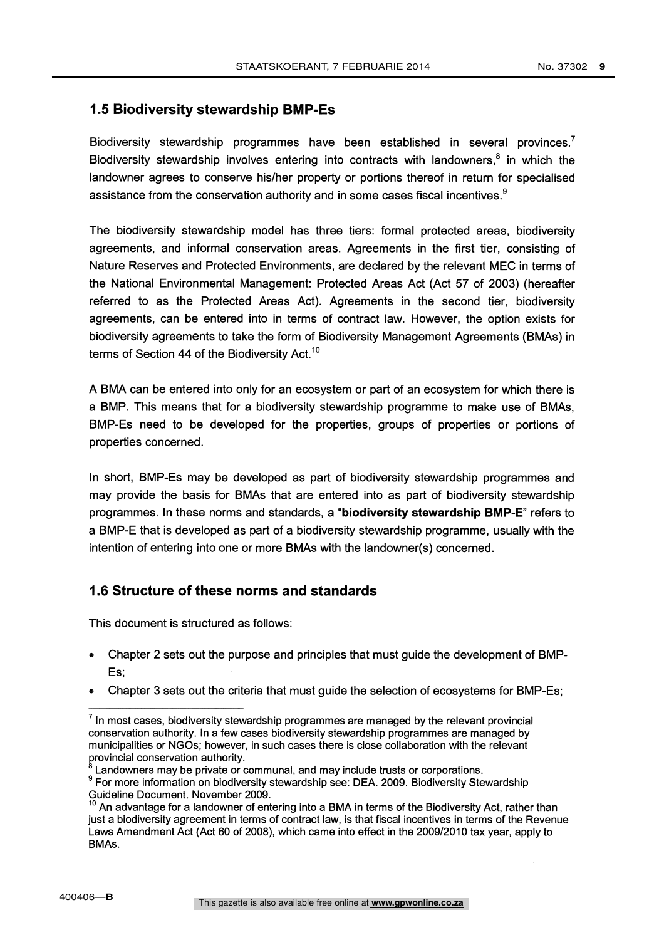#### 1.5 Biodiversity stewardship BMP-Es

Biodiversity stewardship programmes have been established in several provinces.<sup>7</sup> Biodiversity stewardship involves entering into contracts with landowners, $8$  in which the landowner agrees to conserve his/her property or portions thereof in return for specialised assistance from the conservation authority and in some cases fiscal incentives.<sup>9</sup>

The biodiversity stewardship model has three tiers: formal protected areas, biodiversity agreements, and informal conservation areas. Agreements in the first tier, consisting of Nature Reserves and Protected Environments, are declared by the relevant MEC in terms of the National Environmental Management: Protected Areas Act (Act 57 of 2003) (hereafter referred to as the Protected Areas Act). Agreements in the second tier, biodiversity agreements, can be entered into in terms of contract law. However, the option exists for biodiversity agreements to take the form of Biodiversity Management Agreements (BMAs) in terms of Section 44 of the Biodiversity Act.<sup>10</sup>

A BMA can be entered into only for an ecosystem or part of an ecosystem for which there is a BMP. This means that for a biodiversity stewardship programme to make use of BMAs, BMP-Es need to be developed for the properties, groups of properties or portions of properties concerned.

In short, BMP-Es may be developed as part of biodiversity stewardship programmes and may provide the basis for BMAs that are entered into as part of biodiversity stewardship programmes. In these norms and standards, a "biodiversity stewardship BMP-E" refers to a BMP-E that is developed as part of a biodiversity stewardship programme, usually with the intention of entering into one or more BMAs with the landowner(s) concerned.

#### 1.6 Structure of these norms and standards

This document is structured as follows:

- Chapter 2 sets out the purpose and principles that must guide the development of BMP-Es;
- Chapter 3 sets out the criteria that must guide the selection of ecosystems for BMP-Es;

 $^7$  In most cases, biodiversity stewardship programmes are managed by the relevant provincial conservation authority. In a few cases biodiversity stewardship programmes are managed by municipalities or NGOs; however, in such cases there is close collaboration with the relevant provincial conservation authority.

Landowners may be private or communal, and may include trusts or corporations.

<sup>9</sup> Europenside they are producersity stewardship see: DEA. 2009. Biodiversity Stewardship Guideline Document. November 2009.

 $10$  An advantage for a landowner of entering into a BMA in terms of the Biodiversity Act, rather than just a biodiversity agreement in terms of contract law, is that fiscal incentives in terms of the Revenue Laws Amendment Act (Act 60 of 2008), which came into effect in the 2009/2010 tax year, apply to BMAs.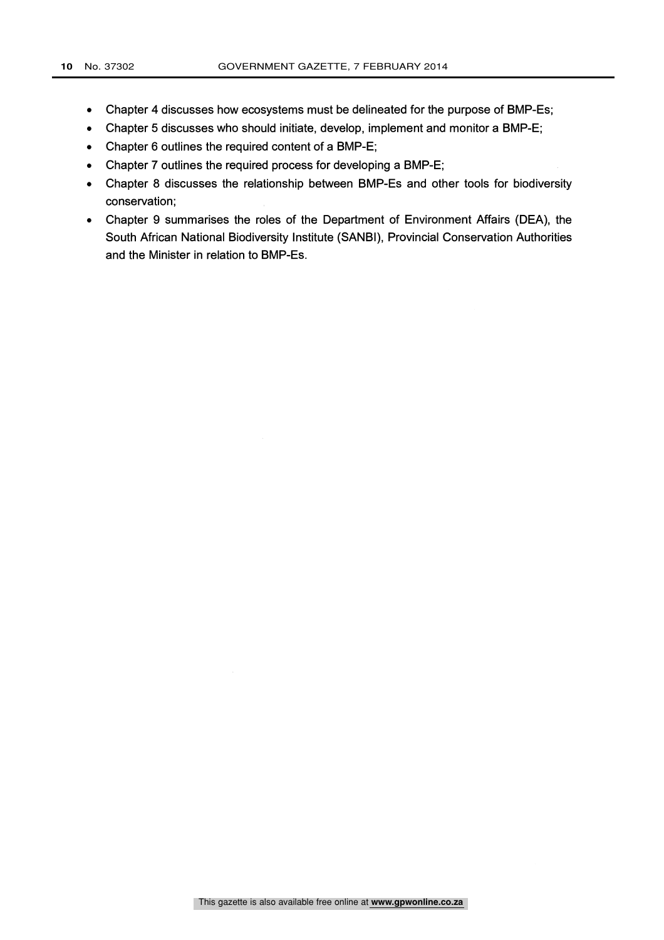- Chapter 4 discusses how ecosystems must be delineated for the purpose of BMP-Es;  $\bullet$
- Chapter 5 discusses who should initiate, develop, implement and monitor a BMP-E;  $\bullet$
- Chapter 6 outlines the required content of a BMP-E;  $\bullet$
- Chapter 7 outlines the required process for developing a BMP-E;  $\bullet$
- Chapter 8 discusses the relationship between BMP-Es and other tools for biodiversity  $\bullet$ conservation;
- Chapter 9 summarises the roles of the Department of Environment Affairs (DEA), the  $\bullet$ South African National Biodiversity Institute (SANBI), Provincial Conservation Authorities and the Minister in relation to BMP-Es.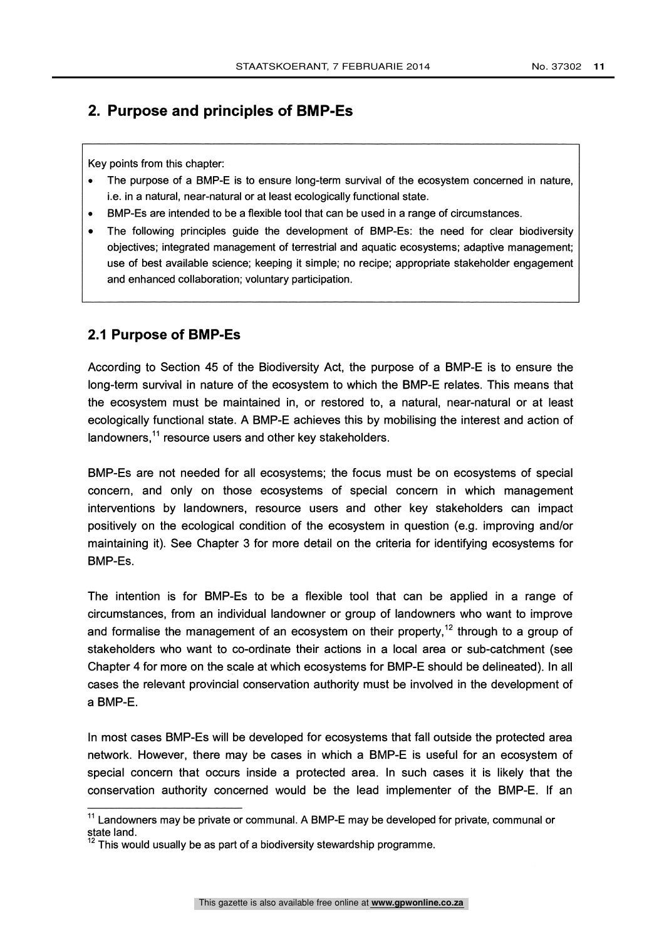### 2. Purpose and principles of BMP-Es

Key points from this chapter:

- The purpose of a BMP-E is to ensure long-term survival of the ecosystem concerned in nature, i.e. in a natural, near-natural or at least ecologically functional state.
- BMP-Es are intended to be a flexible tool that can be used in a range of circumstances.
- The following principles guide the development of BMP-Es: the need for clear biodiversity objectives; integrated management of terrestrial and aquatic ecosystems; adaptive management; use of best available science; keeping it simple; no recipe; appropriate stakeholder engagement and enhanced collaboration; voluntary participation.

#### 2.1 Purpose of BMP-Es

According to Section 45 of the Biodiversity Act, the purpose of a BMP-E is to ensure the long-term survival in nature of the ecosystem to which the BMP-E relates. This means that the ecosystem must be maintained in, or restored to, a natural, near-natural or at least ecologically functional state. A BMP-E achieves this by mobilising the interest and action of landowners,<sup>11</sup> resource users and other key stakeholders.

BMP-Es are not needed for all ecosystems; the focus must be on ecosystems of special concern, and only on those ecosystems of special concern in which management interventions by landowners, resource users and other key stakeholders can impact positively on the ecological condition of the ecosystem in question (e.g. improving and/or maintaining it). See Chapter 3 for more detail on the criteria for identifying ecosystems for BMP-Es.

The intention is for BMP-Es to be a flexible tool that can be applied in a range of circumstances, from an individual landowner or group of landowners who want to improve and formalise the management of an ecosystem on their property,<sup>12</sup> through to a group of stakeholders who want to co-ordinate their actions in a local area or sub-catchment (see Chapter 4 for more on the scale at which ecosystems for BMP-E should be delineated). In all cases the relevant provincial conservation authority must be involved in the development of a BMP-E.

In most cases BMP-Es will be developed for ecosystems that fall outside the protected area network. However, there may be cases in which a BMP-E is useful for an ecosystem of special concern that occurs inside a protected area. In such cases it is likely that the conservation authority concerned would be the lead implementer of the BMP-E. If an

<sup>&</sup>lt;sup>11</sup> Landowners may be private or communal. A BMP-E may be developed for private, communal or state land.

 $\frac{1}{2}$  This would usually be as part of a biodiversity stewardship programme.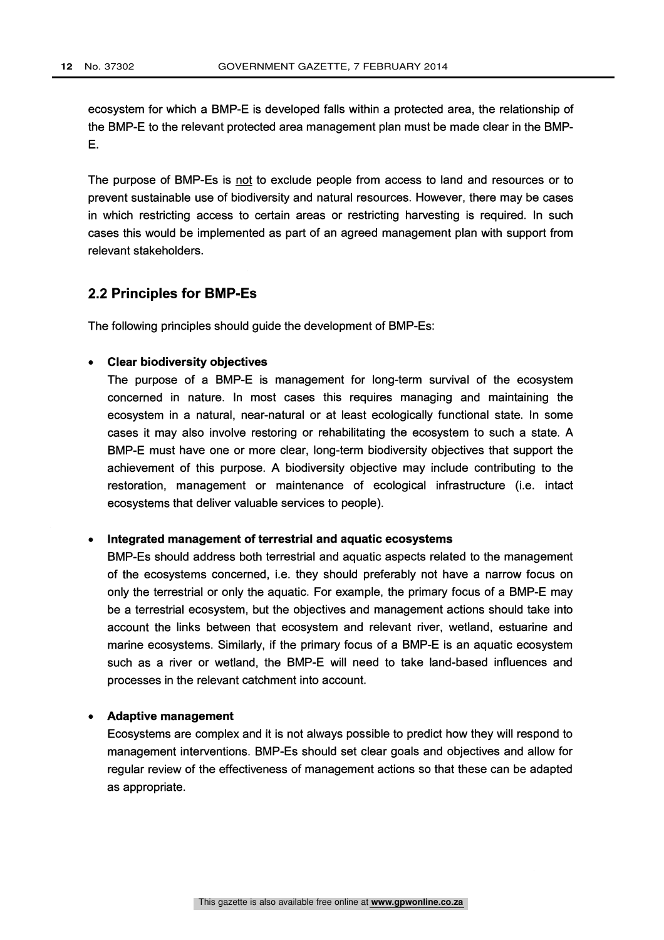ecosystem for which a BMP-E is developed falls within a protected area, the relationship of the BMP-E to the relevant protected area management plan must be made clear in the BMP-E.

The purpose of BMP-Es is not to exclude people from access to land and resources or to prevent sustainable use of biodiversity and natural resources. However, there may be cases in which restricting access to certain areas or restricting harvesting is required. In such cases this would be implemented as part of an agreed management plan with support from relevant stakeholders.

#### 2.2 Principles for BMP-Es

The following principles should guide the development of BMP-Es:

#### Clear biodiversity objectives

The purpose of a BMP-E is management for long-term survival of the ecosystem concerned in nature. In most cases this requires managing and maintaining the ecosystem in a natural, near-natural or at least ecologically functional state. In some cases it may also involve restoring or rehabilitating the ecosystem to such a state. A BMP-E must have one or more clear, long-term biodiversity objectives that support the achievement of this purpose. A biodiversity objective may include contributing to the restoration, management or maintenance of ecological infrastructure (i.e. intact ecosystems that deliver valuable services to people).

#### Integrated management of terrestrial and aquatic ecosystems

BMP-Es should address both terrestrial and aquatic aspects related to the management of the ecosystems concerned, i.e. they should preferably not have a narrow focus on only the terrestrial or only the aquatic. For example, the primary focus of a BMP-E may be a terrestrial ecosystem, but the objectives and management actions should take into account the links between that ecosystem and relevant river, wetland, estuarine and marine ecosystems. Similarly, if the primary focus of a BMP-E is an aquatic ecosystem such as a river or wetland, the BMP-E will need to take land-based influences and processes in the relevant catchment into account.

#### Adaptive management

Ecosystems are complex and it is not always possible to predict how they will respond to management interventions. BMP-Es should set clear goals and objectives and allow for regular review of the effectiveness of management actions so that these can be adapted as appropriate.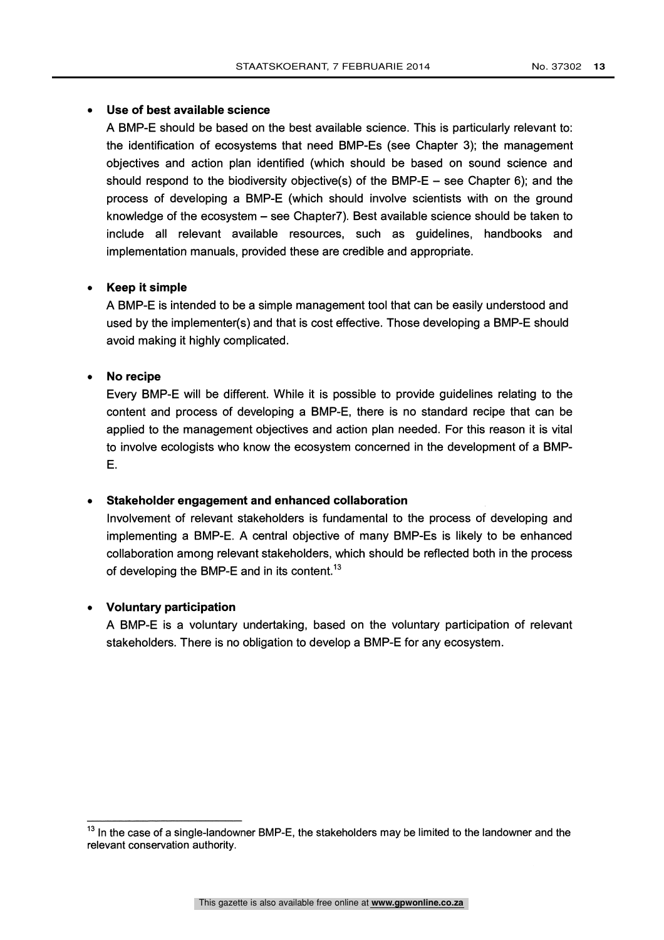#### Use of best available science

A BMP-E should be based on the best available science. This is particularly relevant to: the identification of ecosystems that need BMP-Es (see Chapter 3); the management objectives and action plan identified (which should be based on sound science and should respond to the biodiversity objective(s) of the BMP-E  $-$  see Chapter 6); and the process of developing a BMP-E (which should involve scientists with on the ground knowledge of the ecosystem - see Chapter7). Best available science should be taken to include all relevant available resources, such as guidelines, handbooks and implementation manuals, provided these are credible and appropriate.

#### Keep it simple

A BMP-E is intended to be a simple management tool that can be easily understood and used by the implementer(s) and that is cost effective. Those developing a BMP-E should avoid making it highly complicated.

#### No recipe

Every BMP-E will be different. While it is possible to provide guidelines relating to the content and process of developing a BMP-E, there is no standard recipe that can be applied to the management objectives and action plan needed. For this reason it is vital to involve ecologists who know the ecosystem concerned in the development of a BMP-E.

#### Stakeholder engagement and enhanced collaboration

Involvement of relevant stakeholders is fundamental to the process of developing and implementing a BMP-E. A central objective of many BMP-Es is likely to be enhanced collaboration among relevant stakeholders, which should be reflected both in the process of developing the BMP-E and in its content.<sup>13</sup>

#### Voluntary participation

A BMP-E is a voluntary undertaking, based on the voluntary participation of relevant stakeholders. There is no obligation to develop a BMP-E for any ecosystem.

 $13$  In the case of a single-landowner BMP-E, the stakeholders may be limited to the landowner and the relevant conservation authority.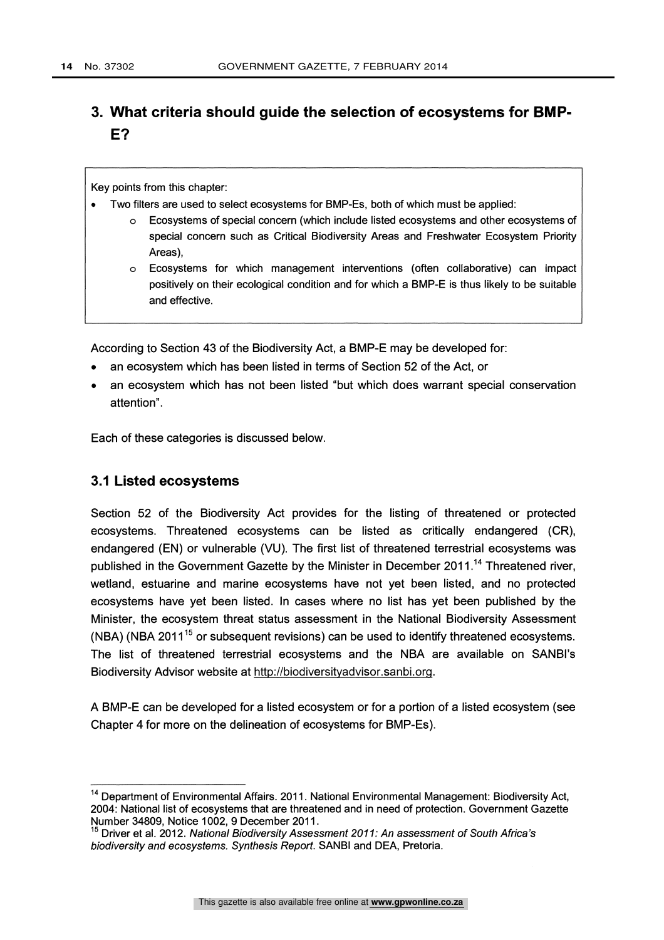### 3. What criteria should guide the selection of ecosystems for BMP-E?

Key points from this chapter:

- Two filters are used to select ecosystems for BMP-Es, both of which must be applied:
	- Ecosystems of special concern (which include listed ecosystems and other ecosystems of special concern such as Critical Biodiversity Areas and Freshwater Ecosystem Priority Areas),
	- o Ecosystems for which management interventions (often collaborative) can impact positively on their ecological condition and for which a BMP-E is thus likely to be suitable and effective.

According to Section 43 of the Biodiversity Act, a BMP-E may be developed for:

- an ecosystem which has been listed in terms of Section 52 of the Act, or
- an ecosystem which has not been listed "but which does warrant special conservation attention".

Each of these categories is discussed below.

#### 3.1 Listed ecosystems

Section 52 of the Biodiversity Act provides for the listing of threatened or protected ecosystems. Threatened ecosystems can be listed as critically endangered (CR), endangered (EN) or vulnerable (VU). The first list of threatened terrestrial ecosystems was published in the Government Gazette by the Minister in December 2011.<sup>14</sup> Threatened river, wetland, estuarine and marine ecosystems have not yet been listed, and no protected ecosystems have yet been listed. In cases where no list has yet been published by the Minister, the ecosystem threat status assessment in the National Biodiversity Assessment  $(NBA)$  (NBA 2011<sup>15</sup> or subsequent revisions) can be used to identify threatened ecosystems. The list of threatened terrestrial ecosystems and the NBA are available on SANBI's Biodiversity Advisor website at http://biodiversityadvisor.sanbi.orq.

A BMP-E can be developed for a listed ecosystem or for a portion of a listed ecosystem (see Chapter 4 for more on the delineation of ecosystems for BMP-Es).

<sup>&</sup>lt;sup>14</sup> Department of Environmental Affairs. 2011. National Environmental Management: Biodiversity Act, 2004: National list of ecosystems that are threatened and in need of protection. Government Gazette Number 34809, Notice 1002, 9 December 2011.

<sup>&</sup>lt;sup>15</sup> Driver et al. 2012. National Biodiversity Assessment 2011: An assessment of South Africa's biodiversity and ecosystems. Synthesis Report. SANBI and DEA, Pretoria.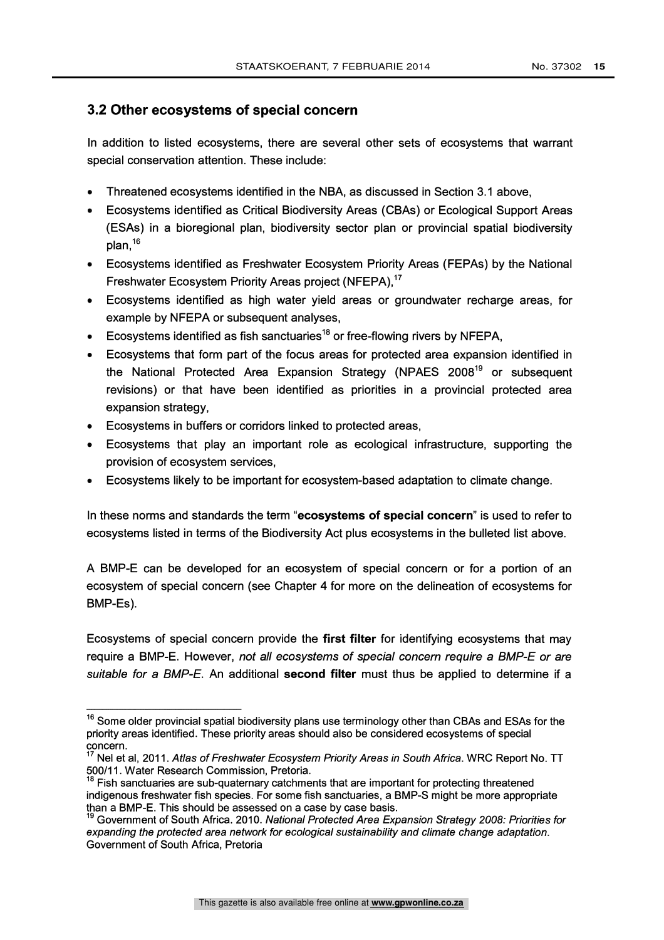#### 3.2 Other ecosystems of special concern

In addition to listed ecosystems, there are several other sets of ecosystems that warrant special conservation attention. These include:

- Threatened ecosystems identified in the NBA, as discussed in Section 3.1 above,
- Ecosystems identified as Critical Biodiversity Areas (CBAs) or Ecological Support Areas (ESAs) in a bioregional plan, biodiversity sector plan or provincial spatial biodiversity plan, <sup>16</sup>
- Ecosystems identified as Freshwater Ecosystem Priority Areas (FEPAs) by the National Freshwater Ecosystem Priority Areas project (NFEPA),<sup>17</sup>
- Ecosystems identified as high water yield areas or groundwater recharge areas, for example by NFEPA or subsequent analyses,
- Ecosystems identified as fish sanctuaries<sup>18</sup> or free-flowing rivers by NFEPA,
- Ecosystems that form part of the focus areas for protected area expansion identified in the National Protected Area Expansion Strategy (NPAES 2008<sup>19</sup> or subsequent revisions) or that have been identified as priorities in a provincial protected area expansion strategy,
- Ecosystems in buffers or corridors linked to protected areas,
- Ecosystems that play an important role as ecological infrastructure, supporting the provision of ecosystem services,
- Ecosystems likely to be important for ecosystem-based adaptation to climate change.

In these norms and standards the term "ecosystems of special concern" is used to refer to ecosystems listed in terms of the Biodiversity Act plus ecosystems in the bulleted list above.

A BMP-E can be developed for an ecosystem of special concern or for a portion of an ecosystem of special concern (see Chapter 4 for more on the delineation of ecosystems for BMP-Es).

Ecosystems of special concern provide the first filter for identifying ecosystems that may require a BMP-E. However, not all ecosystems of special concern require a BMP-E or are suitable for a BMP-E. An additional second filter must thus be applied to determine if a

<sup>&</sup>lt;sup>16</sup> Some older provincial spatial biodiversity plans use terminology other than CBAs and ESAs for the priority areas identified. These priority areas should also be considered ecosystems of special concern.

 $^{\prime\prime}$  Nel et al, 2011. *Atlas of Freshwater Ecosystem Priority Areas in South Africa.* WRC Report No. TT 500/11. Water Research Commission, Pretoria.

 $18$  Fish sanctuaries are sub-quaternary catchments that are important for protecting threatened indigenous freshwater fish species. For some fish sanctuaries, a BMP-S might be more appropriate than a BMP-E. This should be assessed on a case by case basis.

<sup>&</sup>lt;sup>19</sup> Government of South Africa. 2010. National Protected Area Expansion Strategy 2008: Priorities for expanding the protected area network for ecological sustainability and climate change adaptation. Government of South Africa, Pretoria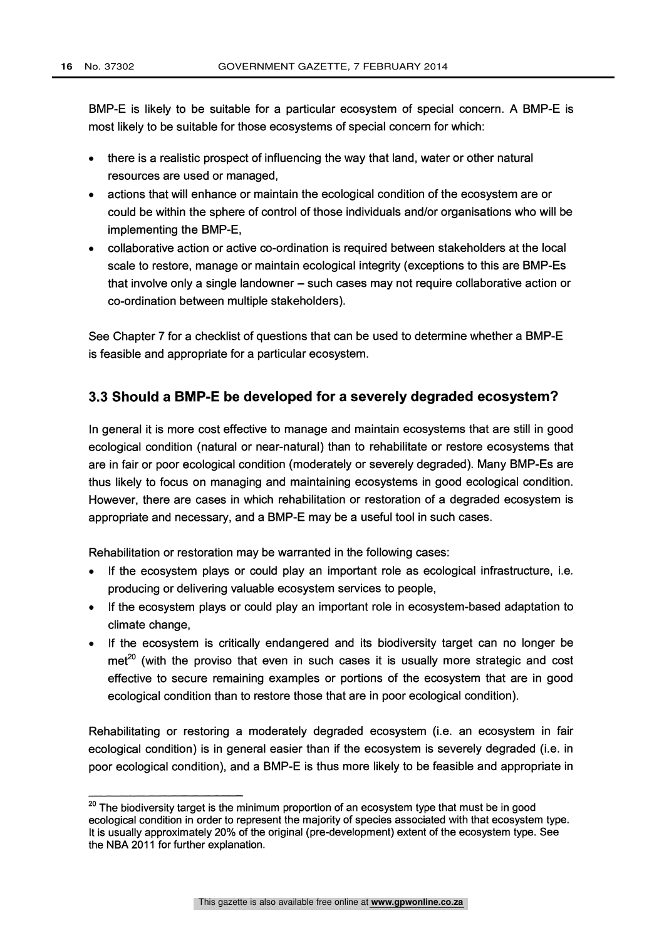BMP-E is likely to be suitable for a particular ecosystem of special concern. A BMP-E is most likely to be suitable for those ecosystems of special concern for which:

- there is a realistic prospect of influencing the way that land, water or other natural resources are used or managed,
- actions that will enhance or maintain the ecological condition of the ecosystem are or could be within the sphere of control of those individuals and/or organisations who will be implementing the BMP-E,
- collaborative action or active co-ordination is required between stakeholders at the local scale to restore, manage or maintain ecological integrity (exceptions to this are BMP-Es that involve only a single landowner - such cases may not require collaborative action or co-ordination between multiple stakeholders).

See Chapter 7 for a checklist of questions that can be used to determine whether a BMP-E is feasible and appropriate for a particular ecosystem.

### 3.3 Should a BMP-E be developed for a severely degraded ecosystem?

In general it is more cost effective to manage and maintain ecosystems that are still in good ecological condition (natural or near-natural) than to rehabilitate or restore ecosystems that are in fair or poor ecological condition (moderately or severely degraded). Many BMP-Es are thus likely to focus on managing and maintaining ecosystems in good ecological condition. However, there are cases in which rehabilitation or restoration of a degraded ecosystem is appropriate and necessary, and a BMP-E may be a useful tool in such cases.

Rehabilitation or restoration may be warranted in the following cases:

- If the ecosystem plays or could play an important role as ecological infrastructure, i.e.  $\bullet$ producing or delivering valuable ecosystem services to people,
- If the ecosystem plays or could play an important role in ecosystem-based adaptation to climate change,
- If the ecosystem is critically endangered and its biodiversity target can no longer be  $met<sup>20</sup>$  (with the proviso that even in such cases it is usually more strategic and cost effective to secure remaining examples or portions of the ecosystem that are in good ecological condition than to restore those that are in poor ecological condition).

Rehabilitating or restoring a moderately degraded ecosystem (i.e. an ecosystem in fair ecological condition) is in general easier than if the ecosystem is severely degraded (i.e. in poor ecological condition), and a BMP-E is thus more likely to be feasible and appropriate in

 $20$  The biodiversity target is the minimum proportion of an ecosystem type that must be in good ecological condition in order to represent the majority of species associated with that ecosystem type. It is usually approximately 20% of the original (pre-development) extent of the ecosystem type. See the NBA 2011 for further explanation.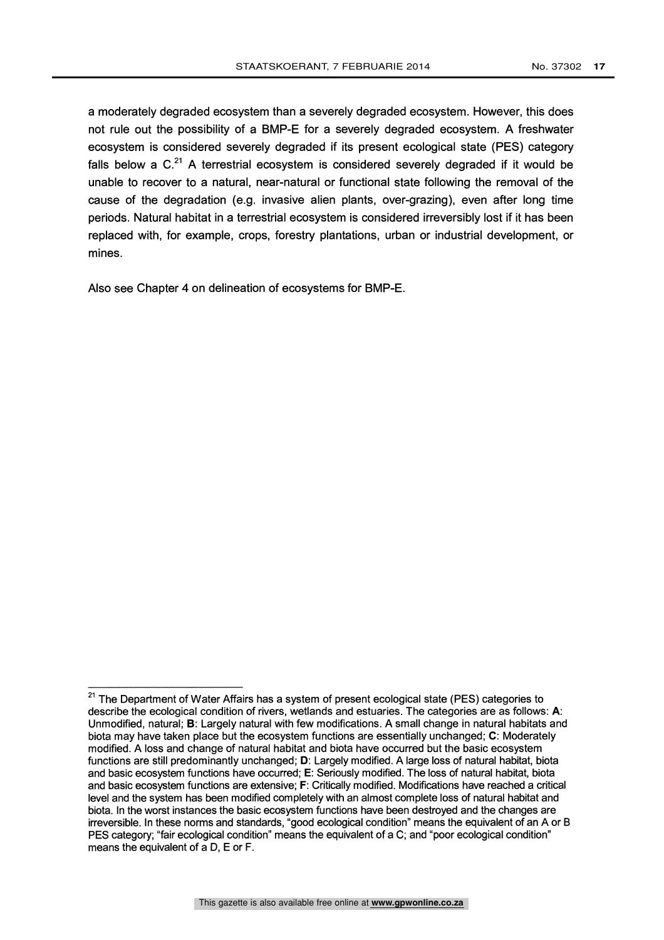a moderately degraded ecosystem than a severely degraded ecosystem. However, this does not rule out the possibility of a BMP-E for a severely degraded ecosystem. A freshwater ecosystem is considered severely degraded if its present ecological state (PES) category falls below a  $C^{21}$  A terrestrial ecosystem is considered severely degraded if it would be unable to recover to a natural, near-natural or functional state following the removal of the cause of the degradation (e.g. invasive alien plants, over-grazing), even after long time periods. Natural habitat in a terrestrial ecosystem is considered irreversibly lost if it has been replaced with, for example, crops, forestry plantations, urban or industrial development, or mines.

Also see Chapter 4 on delineation of ecosystems for BMP-E.

<sup>&</sup>lt;sup>21</sup> The Department of Water Affairs has a system of present ecological state (PES) categories to describe the ecological condition of rivers, wetlands and estuaries. The categories are as follows: A: Unmodified, natural; B: Largely natural with few modifications. A small change in natural habitats and biota may have taken place but the ecosystem functions are essentially unchanged; C: Moderately modified. A loss and change of natural habitat and biota have occurred but the basic ecosystem functions are still predominantly unchanged; D: Largely modified. A large loss of natural habitat, biota and basic ecosystem functions have occurred; E: Seriously modified. The loss of natural habitat, biota and basic ecosystem functions are extensive; F: Critically modified. Modifications have reached a critical level and the system has been modified completely with an almost complete loss of natural habitat and biota. In the worst instances the basic ecosystem functions have been destroyed and the changes are irreversible. In these norms and standards, "good ecological condition" means the equivalent of an A or B PES category; "fair ecological condition" means the equivalent of a C; and "poor ecological condition" means the equivalent of a D, E or F.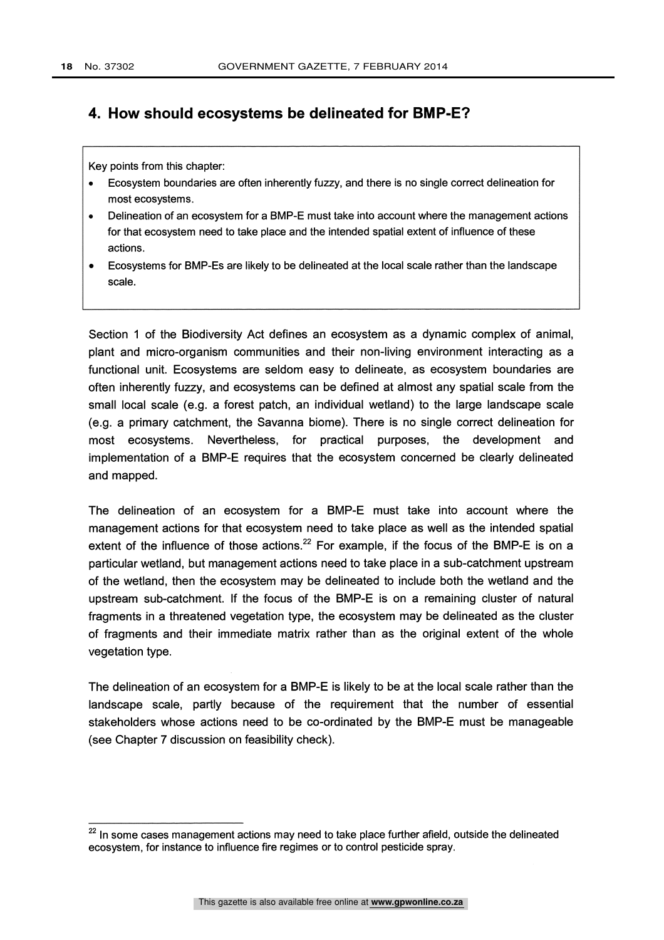### 4. How should ecosystems be delineated for BMP-E?

Key points from this chapter:

- Ecosystem boundaries are often inherently fuzzy, and there is no single correct delineation for most ecosystems.
- Delineation of an ecosystem for a BMP-E must take into account where the management actions for that ecosystem need to take place and the intended spatial extent of influence of these actions.
- Ecosystems for BMP-Es are likely to be delineated at the local scale rather than the landscape scale.

Section 1 of the Biodiversity Act defines an ecosystem as a dynamic complex of animal, plant and micro-organism communities and their non-living environment interacting as a functional unit. Ecosystems are seldom easy to delineate, as ecosystem boundaries are often inherently fuzzy, and ecosystems can be defined at almost any spatial scale from the small local scale (e.g. a forest patch, an individual wetland) to the large landscape scale (e.g. a primary catchment, the Savanna biome). There is no single correct delineation for most ecosystems. Nevertheless, for practical purposes, the development and implementation of a BMP-E requires that the ecosystem concerned be clearly delineated and mapped.

The delineation of an ecosystem for a BMP-E must take into account where the management actions for that ecosystem need to take place as well as the intended spatial extent of the influence of those actions.<sup>22</sup> For example, if the focus of the BMP-E is on a particular wetland, but management actions need to take place in a sub-catchment upstream of the wetland, then the ecosystem may be delineated to include both the wetland and the upstream sub-catchment. If the focus of the BMP-E is on a remaining cluster of natural fragments in a threatened vegetation type, the ecosystem may be delineated as the cluster of fragments and their immediate matrix rather than as the original extent of the whole vegetation type.

The delineation of an ecosystem for a BMP-E is likely to be at the local scale rather than the landscape scale, partly because of the requirement that the number of essential stakeholders whose actions need to be co-ordinated by the BMP-E must be manageable (see Chapter 7 discussion on feasibility check).

This gazette is also available free online at **www.gpwonline.co.za**

 $22$  In some cases management actions may need to take place further afield, outside the delineated ecosystem, for instance to influence fire regimes or to control pesticide spray.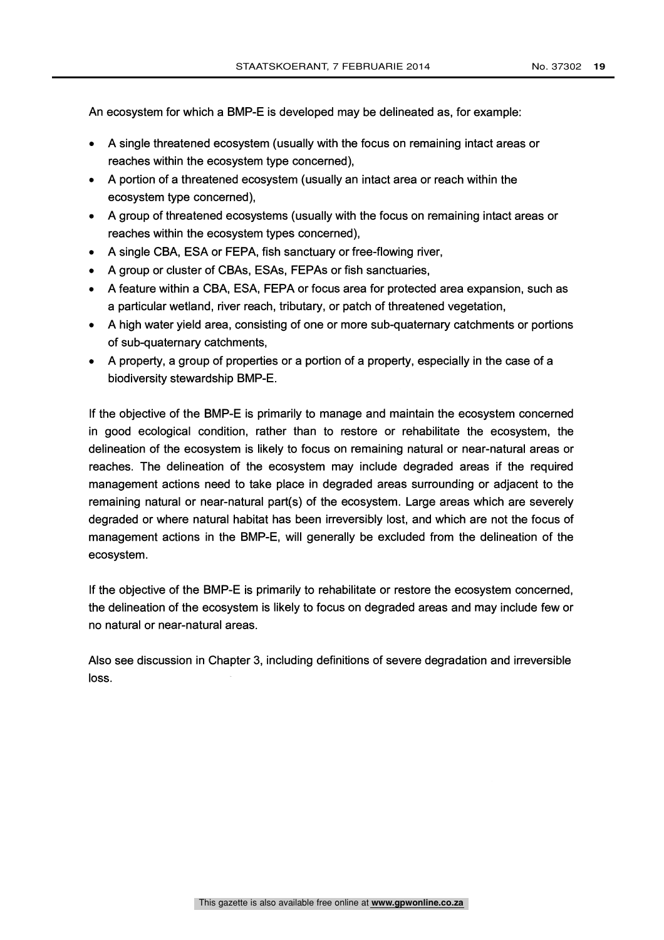An ecosystem for which a BMP-E is developed may be delineated as, for example:

- A single threatened ecosystem (usually with the focus on remaining intact areas or reaches within the ecosystem type concerned),
- A portion of a threatened ecosystem (usually an intact area or reach within the ecosystem type concerned),
- A group of threatened ecosystems (usually with the focus on remaining intact areas or reaches within the ecosystem types concerned),
- A single CBA, ESA or FEPA, fish sanctuary or free-flowing river,
- A group or cluster of CBAs, ESAs, FEPAs or fish sanctuaries,
- A feature within a CBA, ESA, FEPA or focus area for protected area expansion, such as a particular wetland, river reach, tributary, or patch of threatened vegetation,
- A high water yield area, consisting of one or more sub-quaternary catchments or portions of sub-quaternary catchments,
- A property, a group of properties or a portion of a property, especially in the case of a biodiversity stewardship BMP-E.

If the objective of the BMP-E is primarily to manage and maintain the ecosystem concerned in good ecological condition, rather than to restore or rehabilitate the ecosystem, the delineation of the ecosystem is likely to focus on remaining natural or near-natural areas or reaches. The delineation of the ecosystem may include degraded areas if the required management actions need to take place in degraded areas surrounding or adjacent to the remaining natural or near-natural part(s) of the ecosystem. Large areas which are severely degraded or where natural habitat has been irreversibly lost, and which are not the focus of management actions in the BMP-E, will generally be excluded from the delineation of the ecosystem.

If the objective of the BMP-E is primarily to rehabilitate or restore the ecosystem concerned, the delineation of the ecosystem is likely to focus on degraded areas and may include few or no natural or near-natural areas.

Also see discussion in Chapter 3, including definitions of severe degradation and irreversible loss.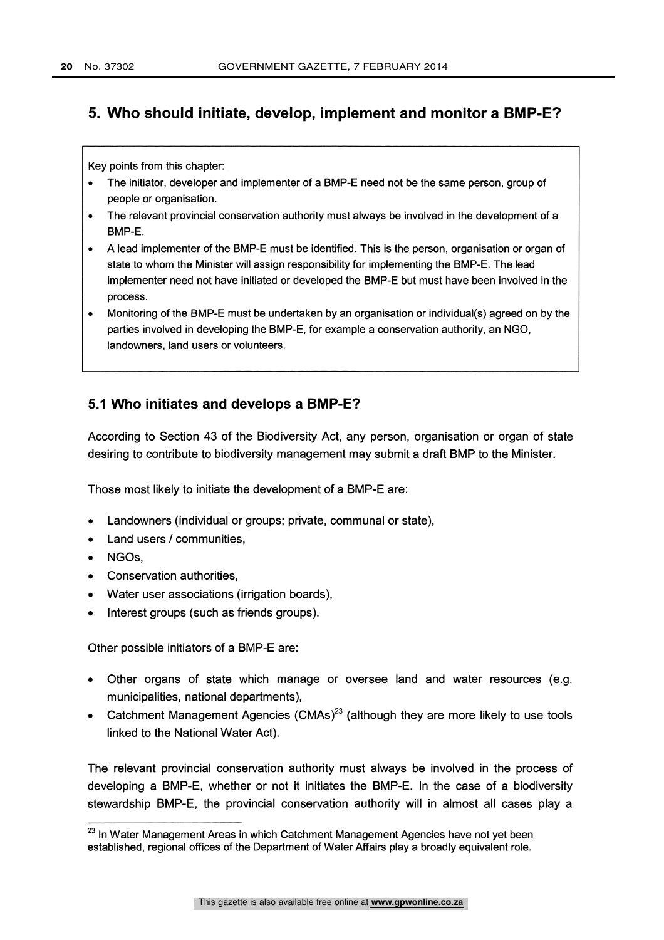### 5. Who should initiate, develop, implement and monitor a BMP-E?

Key points from this chapter:

- The initiator, developer and implementer of a BMP-E need not be the same person, group of people or organisation.
- The relevant provincial conservation authority must always be involved in the development of a BMP-E.
- A lead implementer of the BMP-E must be identified. This is the person, organisation or organ of state to whom the Minister will assign responsibility for implementing the BMP-E. The lead implementer need not have initiated or developed the BMP-E but must have been involved in the process.
- Monitoring of the BMP-E must be undertaken by an organisation or individual(s) agreed on by the parties involved in developing the BMP-E, for example a conservation authority, an NGO, landowners, land users or volunteers.

### 5.1 Who initiates and develops a BMP-E?

According to Section 43 of the Biodiversity Act, any person, organisation or organ of state desiring to contribute to biodiversity management may submit a draft BMP to the Minister.

Those most likely to initiate the development of a BMP-E are:

- Landowners (individual or groups; private, communal or state),
- Land users / communities,
- NGOs,
- Conservation authorities,
- Water user associations (irrigation boards),
- Interest groups (such as friends groups).

Other possible initiators of a BMP-E are:

- Other organs of state which manage or oversee land and water resources (e.g. municipalities, national departments),
- Catchment Management Agencies  $(CMAs)^{23}$  (although they are more likely to use tools linked to the National Water Act).

The relevant provincial conservation authority must always be involved in the process of developing a BMP-E, whether or not it initiates the BMP-E. In the case of a biodiversity stewardship BMP-E, the provincial conservation authority will in almost all cases play a

This gazette is also available free online at **www.gpwonline.co.za**

<sup>&</sup>lt;sup>23</sup> In Water Management Areas in which Catchment Management Agencies have not yet been established, regional offices of the Department of Water Affairs play a broadly equivalent role.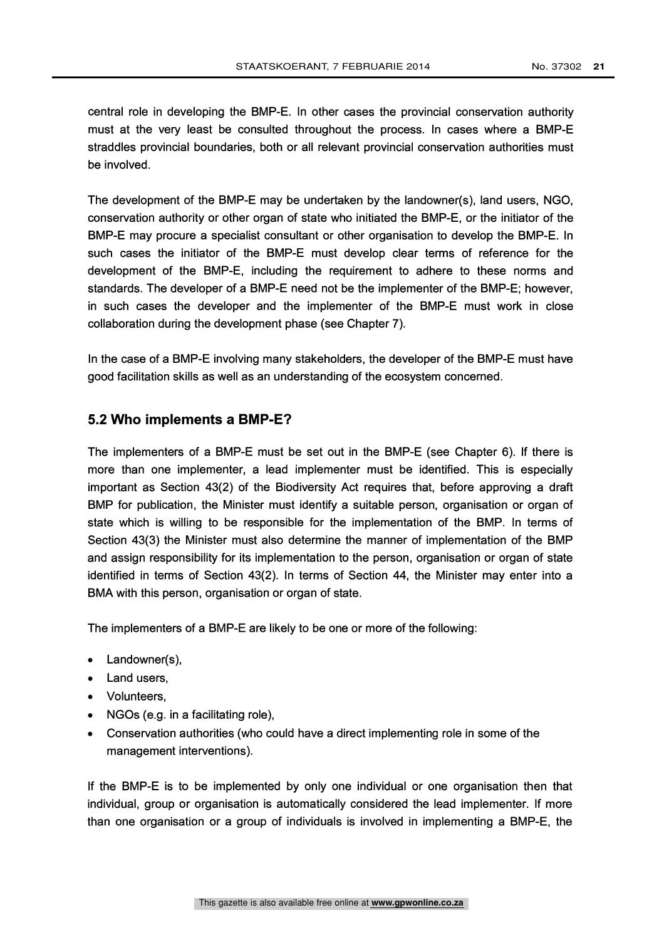central role in developing the BMP-E. In other cases the provincial conservation authority must at the very least be consulted throughout the process. In cases where a BMP-E straddles provincial boundaries, both or all relevant provincial conservation authorities must be involved.

The development of the BMP-E may be undertaken by the landowner(s), land users, NGO, conservation authority or other organ of state who initiated the BMP-E, or the initiator of the BMP-E may procure a specialist consultant or other organisation to develop the BMP-E. In such cases the initiator of the BMP-E must develop clear terms of reference for the development of the BMP-E, including the requirement to adhere to these norms and standards. The developer of a BMP-E need not be the implementer of the BMP-E; however, in such cases the developer and the implementer of the BMP-E must work in close collaboration during the development phase (see Chapter 7).

In the case of a BMP-E involving many stakeholders, the developer of the BMP-E must have good facilitation skills as well as an understanding of the ecosystem concerned.

#### 5.2 Who implements a BMP-E?

The implementers of a BMP-E must be set out in the BMP-E (see Chapter 6). If there is more than one implementer, a lead implementer must be identified. This is especially important as Section 43(2) of the Biodiversity Act requires that, before approving a draft BMP for publication, the Minister must identify a suitable person, organisation or organ of state which is willing to be responsible for the implementation of the BMP. In terms of Section 43(3) the Minister must also determine the manner of implementation of the BMP and assign responsibility for its implementation to the person, organisation or organ of state identified in terms of Section 43(2). In terms of Section 44, the Minister may enter into a BMA with this person, organisation or organ of state.

The implementers of a BMP-E are likely to be one or more of the following:

- Landowner(s),  $\bullet$
- Land users,
- Volunteers,
- NGOs (e.g. in a facilitating role),
- Conservation authorities (who could have a direct implementing role in some of the management interventions).

If the BMP-E is to be implemented by only one individual or one organisation then that individual, group or organisation is automatically considered the lead implementer. If more than one organisation or a group of individuals is involved in implementing a BMP-E, the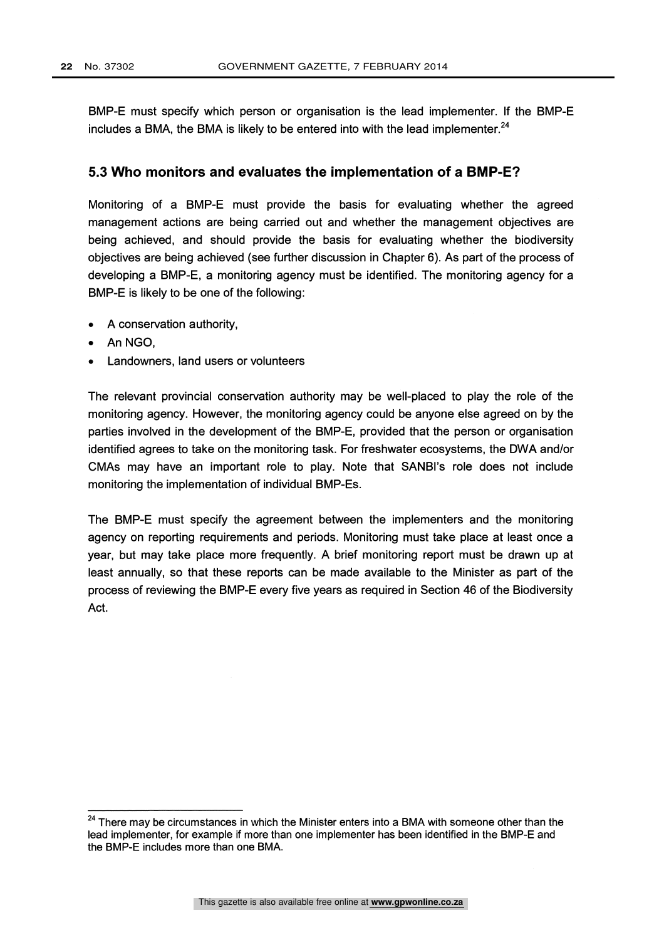BMP-E must specify which person or organisation is the lead implementer. If the BMP-E includes a BMA, the BMA is likely to be entered into with the lead implementer. $^{24}$ 

#### 5.3 Who monitors and evaluates the implementation of a BMP-E?

Monitoring of a BMP-E must provide the basis for evaluating whether the agreed management actions are being carried out and whether the management objectives are being achieved, and should provide the basis for evaluating whether the biodiversity objectives are being achieved (see further discussion in Chapter 6). As part of the process of developing a BMP-E, a monitoring agency must be identified. The monitoring agency for a BMP-E is likely to be one of the following:

- A conservation authority,
- An NGO,
- Landowners, land users or volunteers

The relevant provincial conservation authority may be well-placed to play the role of the monitoring agency. However, the monitoring agency could be anyone else agreed on by the parties involved in the development of the BMP-E, provided that the person or organisation identified agrees to take on the monitoring task. For freshwater ecosystems, the DWA and/or CMAs may have an important role to play. Note that SANBI's role does not include monitoring the implementation of individual BMP-Es.

The BMP-E must specify the agreement between the implementers and the monitoring agency on reporting requirements and periods. Monitoring must take place at least once a year, but may take place more frequently. A brief monitoring report must be drawn up at least annually, so that these reports can be made available to the Minister as part of the process of reviewing the BMP-E every five years as required in Section 46 of the Biodiversity Act.

 $24$  There may be circumstances in which the Minister enters into a BMA with someone other than the lead implementer, for example if more than one implementer has been identified in the BMP-E and the BMP-E includes more than one BMA.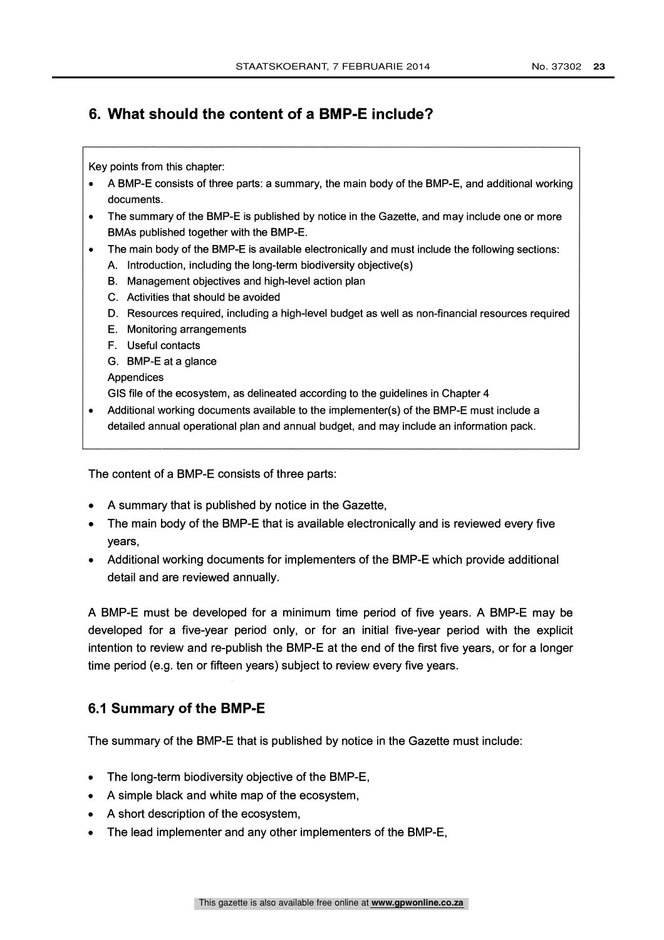### 6. What should the content of a BMP-E include?

Key points from this chapter:

- A BMP-E consists of three parts: a summary, the main body of the BMP-E, and additional working documents.
- The summary of the BMP-E is published by notice in the Gazette, and may include one or more BMAs published together with the BMP-E.
- The main body of the BMP-E is available electronically and must include the following sections:
	- A. Introduction, including the long-term biodiversity objective(s)
	- B. Management objectives and high-level action plan
	- C. Activities that should be avoided
	- D. Resources required, including a high-level budget as well as non-financial resources required
	- E. Monitoring arrangements
	- F. Useful contacts
	- G. BMP-E at a glance

Appendices

GIS file of the ecosystem, as delineated according to the guidelines in Chapter 4

Additional working documents available to the implementer(s) of the BMP-E must include a detailed annual operational plan and annual budget, and may include an information pack.

The content of a BMP-E consists of three parts:

- A summary that is published by notice in the Gazette,
- The main body of the BMP-E that is available electronically and is reviewed every five years,
- Additional working documents for implementers of the BMP-E which provide additional detail and are reviewed annually.

A BMP-E must be developed for a minimum time period of five years. A BMP-E may be developed for a five-year period only, or for an initial five-year period with the explicit intention to review and re-publish the BMP-E at the end of the first five years, or for a longer time period (e.g. ten or fifteen years) subject to review every five years.

#### 6.1 Summary of the BMP-E

The summary of the BMP-E that is published by notice in the Gazette must include:

- The long-term biodiversity objective of the BMP-E,
- A simple black and white map of the ecosystem,
- A short description of the ecosystem,
- The lead implementer and any other implementers of the BMP-E,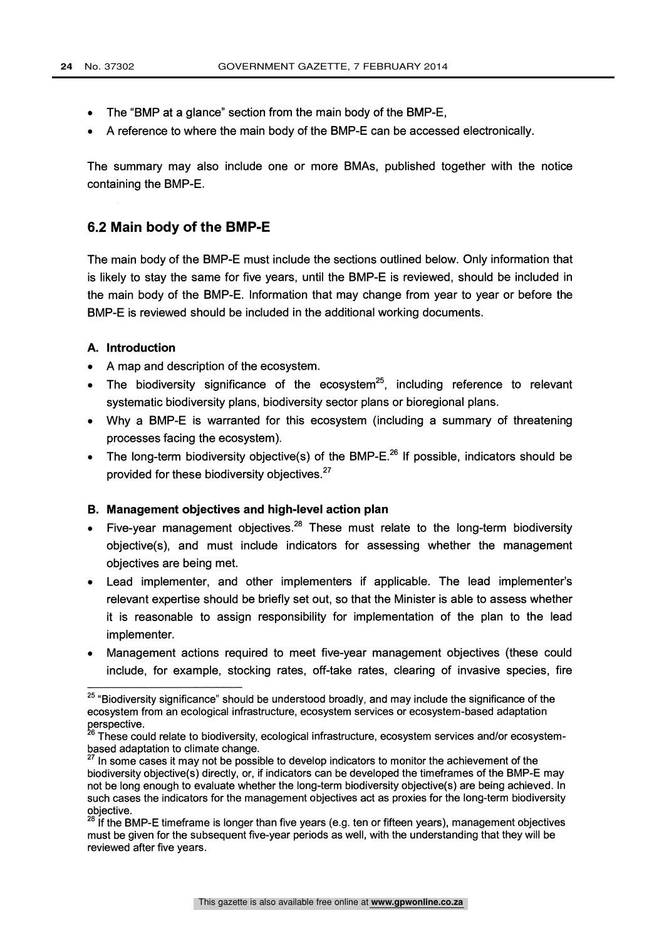- The "BMP at a glance" section from the main body of the BMP-E,
- A reference to where the main body of the BMP-E can be accessed electronically.

The summary may also include one or more BMAs, published together with the notice containing the BMP-E.

#### 6.2 Main body of the BMP-E

The main body of the BMP-E must include the sections outlined below. Only information that is likely to stay the same for five years, until the BMP-E is reviewed, should be included in the main body of the BMP-E. Information that may change from year to year or before the BMP-E is reviewed should be included in the additional working documents.

#### A. Introduction

- A map and description of the ecosystem.
- The biodiversity significance of the ecosystem<sup>25</sup>, including reference to relevant systematic biodiversity plans, biodiversity sector plans or bioregional plans.
- Why a BMP-E is warranted for this ecosystem (including a summary of threatening processes facing the ecosystem).
- The long-term biodiversity objective(s) of the BMP- $E^{26}$  If possible, indicators should be provided for these biodiversity objectives.<sup>27</sup>

#### B. Management objectives and high-level action plan

- Five-year management objectives. $^{28}$  These must relate to the long-term biodiversity objective(s), and must include indicators for assessing whether the management objectives are being met.
- Lead implementer, and other implementers if applicable. The lead implementer's relevant expertise should be briefly set out, so that the Minister is able to assess whether it is reasonable to assign responsibility for implementation of the plan to the lead implementer.
- Management actions required to meet five-year management objectives (these could include, for example, stocking rates, off-take rates, clearing of invasive species, fire

<sup>&</sup>lt;sup>25</sup> "Biodiversity significance" should be understood broadly, and may include the significance of the ecosystem from an ecological infrastructure, ecosystem services or ecosystem-based adaptation perspective.

 $^{\prime\text{o}}$  These could relate to biodiversity, ecological infrastructure, ecosystem services and/or ecosystembased adaptation to climate change.

 $27$  In some cases it may not be possible to develop indicators to monitor the achievement of the biodiversity objective(s) directly, or, if indicators can be developed the timeframes of the BMP-E may not be long enough to evaluate whether the long-term biodiversity objective(s) are being achieved. In such cases the indicators for the management objectives act as proxies for the long-term biodiversity objective.

 $^\mathrm{20}$  If the BMP-E timeframe is longer than five years (e.g. ten or fifteen years), management objectives must be given for the subsequent five-year periods as well, with the understanding that they will be reviewed after five years.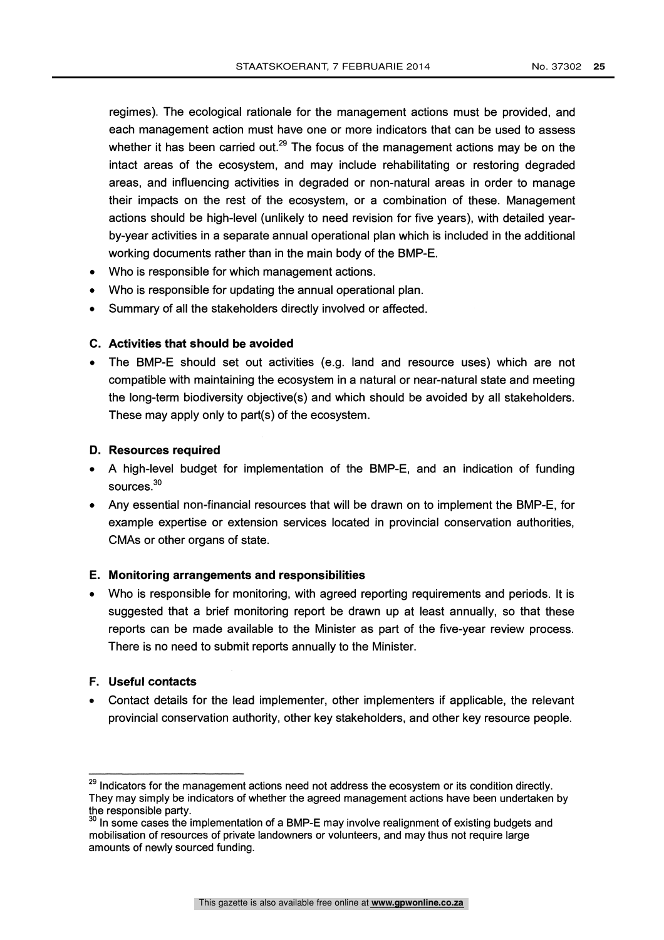regimes). The ecological rationale for the management actions must be provided, and each management action must have one or more indicators that can be used to assess whether it has been carried out.<sup>29</sup> The focus of the management actions may be on the intact areas of the ecosystem, and may include rehabilitating or restoring degraded areas, and influencing activities in degraded or non-natural areas in order to manage their impacts on the rest of the ecosystem, or a combination of these. Management actions should be high-level (unlikely to need revision for five years), with detailed yearby-year activities in a separate annual operational plan which is included in the additional working documents rather than in the main body of the BMP-E.

- Who is responsible for which management actions.
- Who is responsible for updating the annual operational plan.
- Summary of all the stakeholders directly involved or affected.

#### C. Activities that should be avoided

The BMP-E should set out activities (e.g. land and resource uses) which are not compatible with maintaining the ecosystem in a natural or near-natural state and meeting the long-term biodiversity objective(s) and which should be avoided by all stakeholders. These may apply only to part(s) of the ecosystem.

#### D. Resources required

- A high-level budget for implementation of the BMP-E, and an indication of funding sources. <sup>30</sup>
- Any essential non-financial resources that will be drawn on to implement the BMP-E, for example expertise or extension services located in provincial conservation authorities, CMAs or other organs of state.

#### E. Monitoring arrangements and responsibilities

Who is responsible for monitoring, with agreed reporting requirements and periods. It is suggested that a brief monitoring report be drawn up at least annually, so that these reports can be made available to the Minister as part of the five-year review process. There is no need to submit reports annually to the Minister.

#### F. Useful contacts

Contact details for the lead implementer, other implementers if applicable, the relevant provincial conservation authority, other key stakeholders, and other key resource people.

<sup>&</sup>lt;sup>29</sup> Indicators for the management actions need not address the ecosystem or its condition directly. They may simply be indicators of whether the agreed management actions have been undertaken by the responsible party.

 $30$  In some cases the implementation of a BMP-E may involve realignment of existing budgets and mobilisation of resources of private landowners or volunteers, and may thus not require large amounts of newly sourced funding.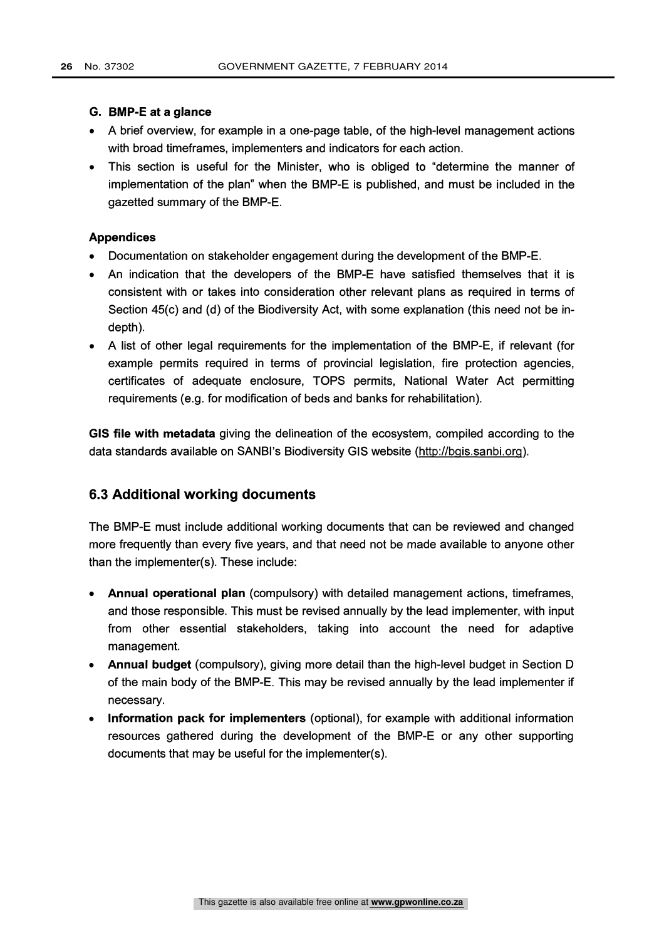#### G. BMP-E at a glance

- A brief overview, for example in a one-page table, of the high-level management actions with broad timeframes, implementers and indicators for each action.
- This section is useful for the Minister, who is obliged to "determine the manner of implementation of the plan" when the BMP-E is published, and must be included in the gazetted summary of the BMP-E.

#### Appendices

- Documentation on stakeholder engagement during the development of the BMP-E.
- An indication that the developers of the BMP-E have satisfied themselves that it is consistent with or takes into consideration other relevant plans as required in terms of Section 45(c) and (d) of the Biodiversity Act, with some explanation (this need not be indepth).
- A list of other legal requirements for the implementation of the BMP-E, if relevant (for example permits required in terms of provincial legislation, fire protection agencies, certificates of adequate enclosure, TOPS permits, National Water Act permitting requirements (e.g. for modification of beds and banks for rehabilitation).

GIS file with metadata giving the delineation of the ecosystem, compiled according to the data standards available on SANBI's Biodiversity GIS website (http://bgis.sanbi.orq).

#### 6.3 Additional working documents

The BMP-E must include additional working documents that can be reviewed and changed more frequently than every five years, and that need not be made available to anyone other than the implementer(s). These include:

- Annual operational plan (compulsory) with detailed management actions, timeframes, and those responsible. This must be revised annually by the lead implementer, with input from other essential stakeholders, taking into account the need for adaptive management.
- Annual budget (compulsory), giving more detail than the high-level budget in Section D of the main body of the BMP-E. This may be revised annually by the lead implementer if necessary.
- Information pack for implementers (optional), for example with additional information resources gathered during the development of the BMP-E or any other supporting documents that may be useful for the implementer(s).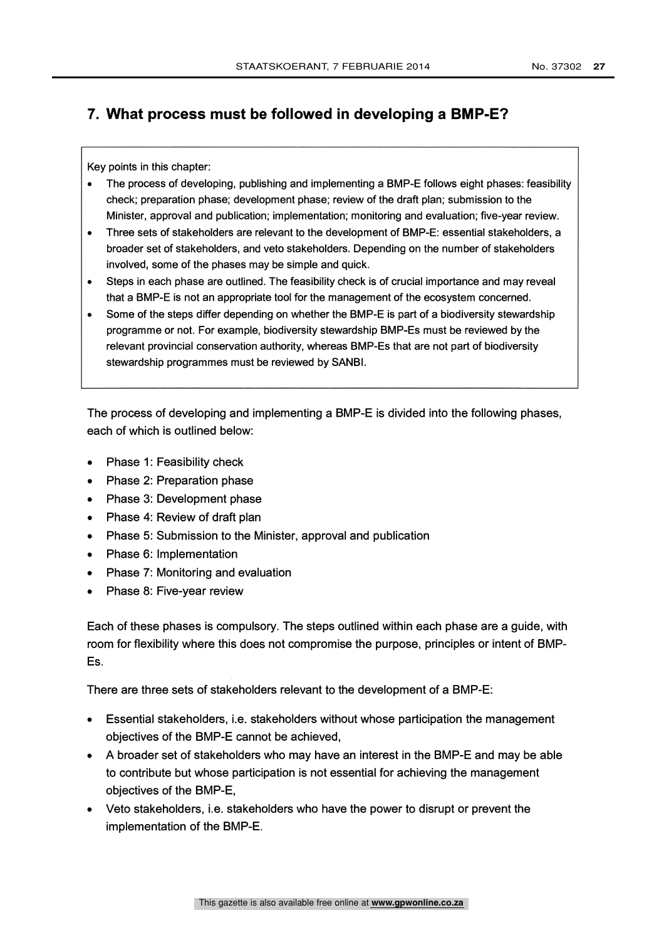### 7. What process must be followed in developing a BMP-E?

Key points in this chapter:

- The process of developing, publishing and implementing a BMP-E follows eight phases: feasibility check; preparation phase; development phase; review of the draft plan; submission to the Minister, approval and publication; implementation; monitoring and evaluation; five-year review.
- Three sets of stakeholders are relevant to the development of BMP-E: essential stakeholders, a broader set of stakeholders, and veto stakeholders. Depending on the number of stakeholders involved, some of the phases may be simple and quick.
- Steps in each phase are outlined. The feasibility check is of crucial importance and may reveal that a BMP-E is not an appropriate tool for the management of the ecosystem concerned.
- Some of the steps differ depending on whether the BMP-E is part of a biodiversity stewardship programme or not. For example, biodiversity stewardship BMP-Es must be reviewed by the relevant provincial conservation authority, whereas BMP-Es that are not part of biodiversity stewardship programmes must be reviewed by SANBI.

The process of developing and implementing a BMP-E is divided into the following phases, each of which is outlined below:

- Phase 1: Feasibility check
- Phase 2: Preparation phase
- Phase 3: Development phase
- Phase 4: Review of draft plan
- Phase 5: Submission to the Minister, approval and publication
- Phase 6: Implementation
- Phase 7: Monitoring and evaluation  $\bullet$
- Phase 8: Five-year review

Each of these phases is compulsory. The steps outlined within each phase are a guide, with room for flexibility where this does not compromise the purpose, principles or intent of BMP-Es.

There are three sets of stakeholders relevant to the development of a BMP-E:

- Essential stakeholders, i.e. stakeholders without whose participation the management objectives of the BMP-E cannot be achieved,
- A broader set of stakeholders who may have an interest in the BMP-E and may be able to contribute but whose participation is not essential for achieving the management objectives of the BMP-E,
- Veto stakeholders, i.e. stakeholders who have the power to disrupt or prevent the implementation of the BMP-E.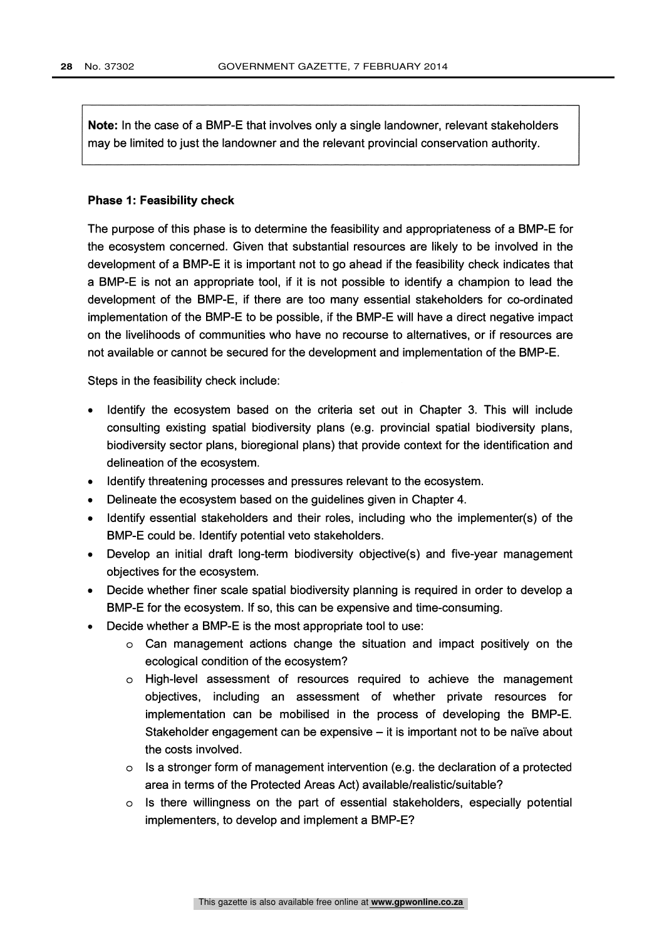Note: In the case of a BMP-E that involves only a single landowner, relevant stakeholders may be limited to just the landowner and the relevant provincial conservation authority.

#### Phase 1: Feasibility check

The purpose of this phase is to determine the feasibility and appropriateness of a BMP-E for the ecosystem concerned. Given that substantial resources are likely to be involved in the development of a BMP-E it is important not to go ahead if the feasibility check indicates that a BMP-E is not an appropriate tool, if it is not possible to identify a champion to lead the development of the BMP-E, if there are too many essential stakeholders for co-ordinated implementation of the BMP-E to be possible, if the BMP-E will have a direct negative impact on the livelihoods of communities who have no recourse to alternatives, or if resources are not available or cannot be secured for the development and implementation of the BMP-E.

Steps in the feasibility check include:

- Identify the ecosystem based on the criteria set out in Chapter 3. This will include consulting existing spatial biodiversity plans (e.g. provincial spatial biodiversity plans, biodiversity sector plans, bioregional plans) that provide context for the identification and delineation of the ecosystem.
- Identify threatening processes and pressures relevant to the ecosystem.
- Delineate the ecosystem based on the guidelines given in Chapter 4.
- Identify essential stakeholders and their roles, including who the implementer(s) of the BMP-E could be. Identify potential veto stakeholders.
- Develop an initial draft long-term biodiversity objective(s) and five-year management objectives for the ecosystem.
- Decide whether finer scale spatial biodiversity planning is required in order to develop a BMP-E for the ecosystem. If so, this can be expensive and time-consuming.
- Decide whether a BMP-E is the most appropriate tool to use:
	- $\circ$  Can management actions change the situation and impact positively on the ecological condition of the ecosystem?
	- o High-level assessment of resources required to achieve the management objectives, including an assessment of whether private resources for implementation can be mobilised in the process of developing the BMP-E. Stakeholder engagement can be expensive  $-$  it is important not to be naïve about the costs involved.
	- $\circ$  Is a stronger form of management intervention (e.g. the declaration of a protected area in terms of the Protected Areas Act) available/realistic/suitable?
	- o Is there willingness on the part of essential stakeholders, especially potential implementers, to develop and implement a BMP-E?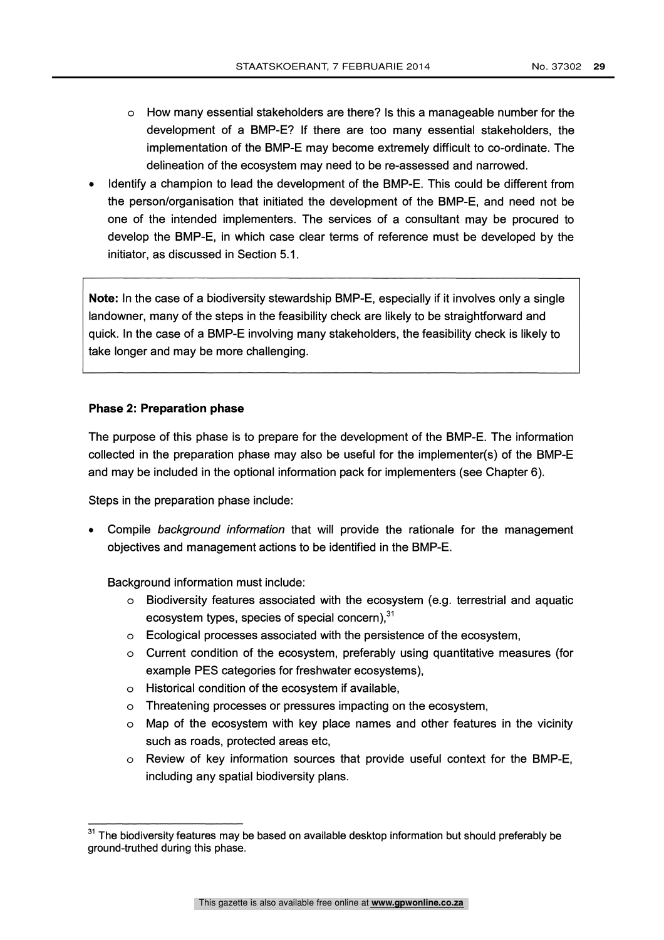- o How many essential stakeholders are there? Is this a manageable number for the development of a BMP-E? If there are too many essential stakeholders, the implementation of the BMP-E may become extremely difficult to co-ordinate. The delineation of the ecosystem may need to be re-assessed and narrowed.
- Identify a champion to lead the development of the BMP-E. This could be different from the person/organisation that initiated the development of the BMP-E, and need not be one of the intended implementers. The services of a consultant may be procured to develop the BMP-E, in which case clear terms of reference must be developed by the initiator, as discussed in Section 5.1.

Note: In the case of a biodiversity stewardship BMP-E, especially if it involves only a single landowner, many of the steps in the feasibility check are likely to be straightforward and quick. In the case of a BMP-E involving many stakeholders, the feasibility check is likely to take longer and may be more challenging.

#### Phase 2: Preparation phase

The purpose of this phase is to prepare for the development of the BMP-E. The information collected in the preparation phase may also be useful for the implementer(s) of the BMP-E and may be included in the optional information pack for implementers (see Chapter 6).

Steps in the preparation phase include:

Compile background information that will provide the rationale for the management objectives and management actions to be identified in the BMP-E.

Background information must include:

- o Biodiversity features associated with the ecosystem (e.g. terrestrial and aquatic ecosystem types, species of special concern).<sup>31</sup>
- o Ecological processes associated with the persistence of the ecosystem,
- o Current condition of the ecosystem, preferably using quantitative measures (for example PES categories for freshwater ecosystems),
- o Historical condition of the ecosystem if available,
- o Threatening processes or pressures impacting on the ecosystem,
- $\circ$  Map of the ecosystem with key place names and other features in the vicinity such as roads, protected areas etc,
- $\circ$  Review of key information sources that provide useful context for the BMP-E, including any spatial biodiversity plans.

 $31$  The biodiversity features may be based on available desktop information but should preferably be ground-truthed during this phase.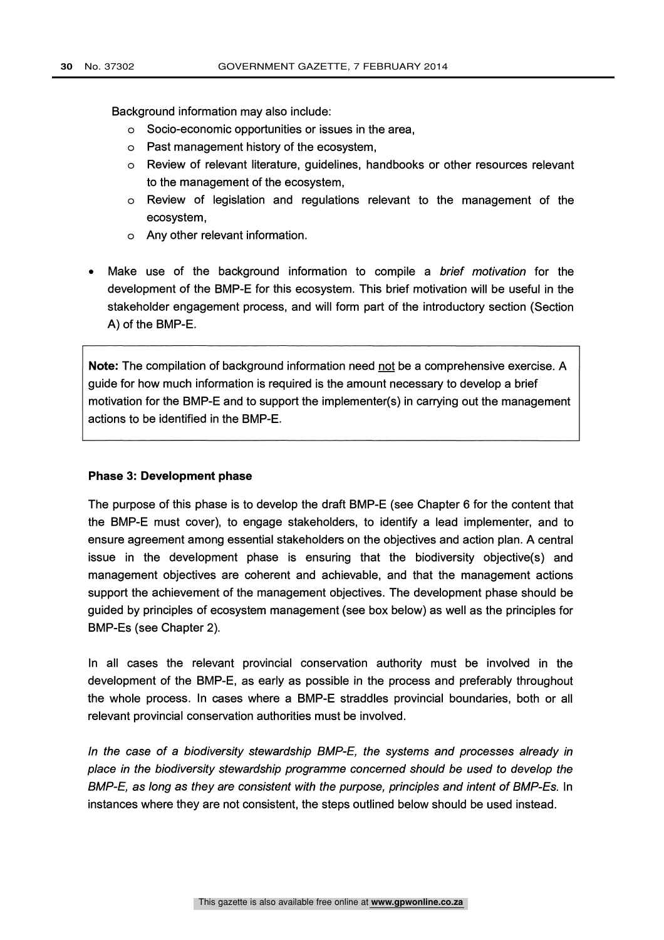Background information may also include:

- o Socio-economic opportunities or issues in the area,
- o Past management history of the ecosystem,
- o Review of relevant literature, guidelines, handbooks or other resources relevant to the management of the ecosystem,
- o Review of legislation and regulations relevant to the management of the ecosystem,
- o Any other relevant information.
- Make use of the background information to compile a *brief motivation* for the development of the BMP-E for this ecosystem. This brief motivation will be useful in the stakeholder engagement process, and will form part of the introductory section (Section A) of the BMP-E.

Note: The compilation of background information need not be a comprehensive exercise. A guide for how much information is required is the amount necessary to develop a brief motivation for the BMP-E and to support the implementer(s) in carrying out the management actions to be identified in the BMP-E.

#### Phase 3: Development phase

The purpose of this phase is to develop the draft BMP-E (see Chapter 6 for the content that the BMP-E must cover), to engage stakeholders, to identify a lead implementer, and to ensure agreement among essential stakeholders on the objectives and action plan. A central issue in the development phase is ensuring that the biodiversity objective(s) and management objectives are coherent and achievable, and that the management actions support the achievement of the management objectives. The development phase should be guided by principles of ecosystem management (see box below) as well as the principles for BMP-Es (see Chapter 2).

In all cases the relevant provincial conservation authority must be involved in the development of the BMP-E, as early as possible in the process and preferably throughout the whole process. In cases where a BMP-E straddles provincial boundaries, both or all relevant provincial conservation authorities must be involved.

In the case of a biodiversity stewardship BMP-E, the systems and processes already in place in the biodiversity stewardship programme concerned should be used to develop the BMP-E, as long as they are consistent with the purpose, principles and intent of BMP-Es. In instances where they are not consistent, the steps outlined below should be used instead.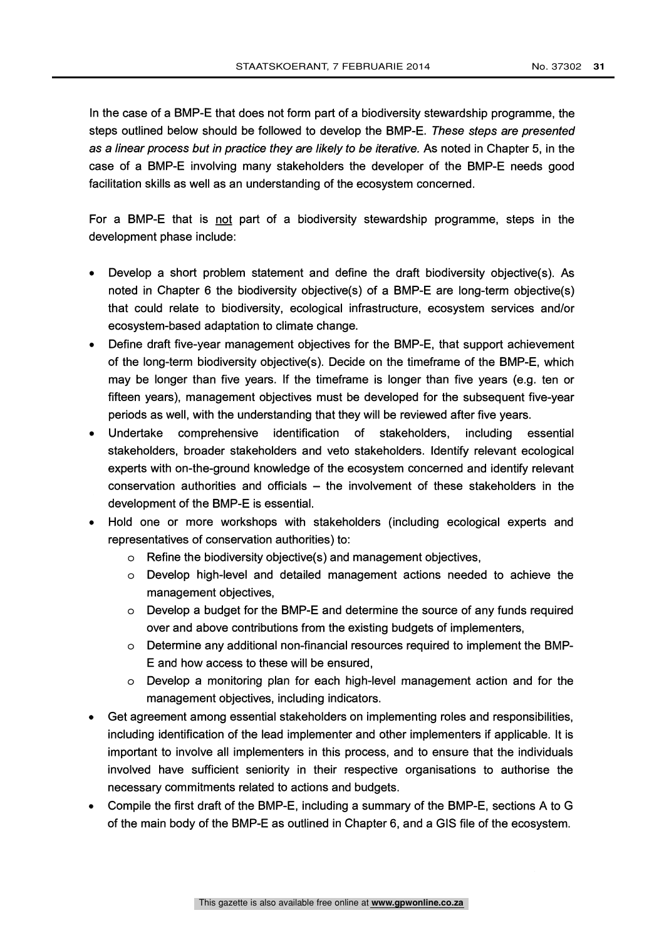In the case of a BMP-E that does not form part of a biodiversity stewardship programme, the steps outlined below should be followed to develop the BMP-E. These steps are presented as a linear process but in practice they are likely to be iterative. As noted in Chapter 5, in the case of a BMP-E involving many stakeholders the developer of the BMP-E needs good facilitation skills as well as an understanding of the ecosystem concerned.

For a BMP-E that is not part of a biodiversity stewardship programme, steps in the development phase include:

- Develop a short problem statement and define the draft biodiversity objective(s). As noted in Chapter 6 the biodiversity objective(s) of a BMP-E are long-term objective(s) that could relate to biodiversity, ecological infrastructure, ecosystem services and/or ecosystem-based adaptation to climate change.
- Define draft five-year management objectives for the BMP-E, that support achievement of the long-term biodiversity objective(s). Decide on the timeframe of the BMP-E, which may be longer than five years. If the timeframe is longer than five years (e.g. ten or fifteen years), management objectives must be developed for the subsequent five-year periods as well, with the understanding that they will be reviewed after five years.
- Undertake comprehensive identification of stakeholders, including essential stakeholders, broader stakeholders and veto stakeholders. Identify relevant ecological experts with on-the-ground knowledge of the ecosystem concerned and identify relevant  $conservation$  authorities and officials  $-$  the involvement of these stakeholders in the development of the BMP-E is essential.
- Hold one or more workshops with stakeholders (including ecological experts and representatives of conservation authorities) to:
	- o Refine the biodiversity objective(s) and management objectives,
	- o Develop high-level and detailed management actions needed to achieve the management objectives,
	- o Develop a budget for the BMP-E and determine the source of any funds required over and above contributions from the existing budgets of implementers,
	- o Determine any additional non-financial resources required to implement the BMP-E and how access to these will be ensured,
	- o Develop a monitoring plan for each high-level management action and for the management objectives, including indicators.
- Get agreement among essential stakeholders on implementing roles and responsibilities, including identification of the lead implementer and other implementers if applicable. It is important to involve all implementers in this process, and to ensure that the individuals involved have sufficient seniority in their respective organisations to authorise the necessary commitments related to actions and budgets.
- Compile the first draft of the BMP-E, including a summary of the BMP-E, sections A to G of the main body of the BMP-E as outlined in Chapter 6, and a GIS file of the ecosystem.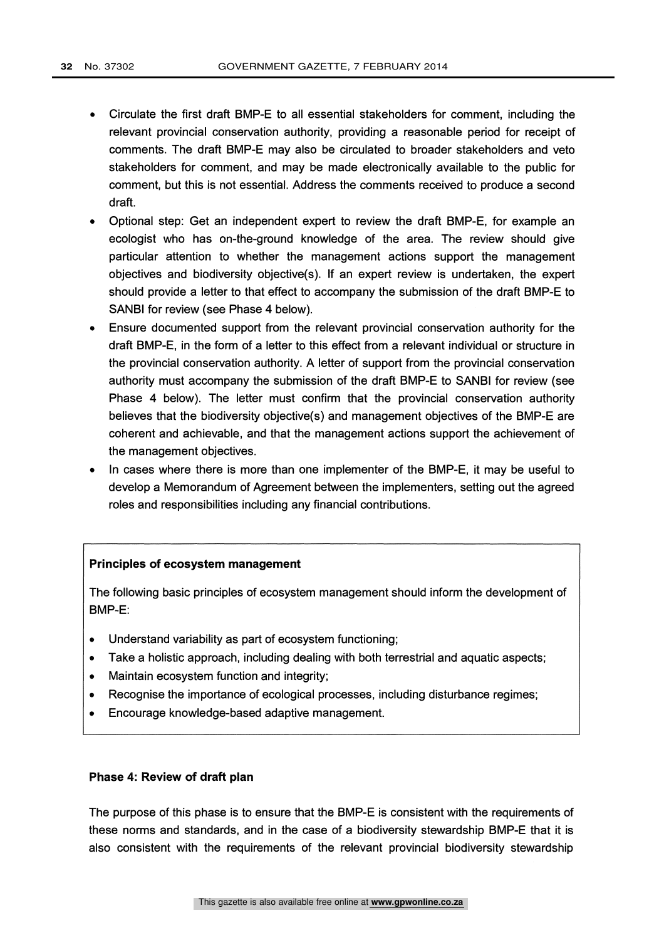- Circulate the first draft BMP-E to all essential stakeholders for comment, including the relevant provincial conservation authority, providing a reasonable period for receipt of comments. The draft BMP-E may also be circulated to broader stakeholders and veto stakeholders for comment, and may be made electronically available to the public for comment, but this is not essential. Address the comments received to produce a second draft.
- Optional step: Get an independent expert to review the draft BMP-E, for example an ecologist who has on-the-ground knowledge of the area. The review should give particular attention to whether the management actions support the management objectives and biodiversity objective(s). If an expert review is undertaken, the expert should provide a letter to that effect to accompany the submission of the draft BMP-E to SANBI for review (see Phase 4 below).
- Ensure documented support from the relevant provincial conservation authority for the draft BMP-E, in the form of a letter to this effect from a relevant individual or structure in the provincial conservation authority. A letter of support from the provincial conservation authority must accompany the submission of the draft BMP-E to SANBI for review (see Phase 4 below). The letter must confirm that the provincial conservation authority believes that the biodiversity objective(s) and management objectives of the BMP-E are coherent and achievable, and that the management actions support the achievement of the management objectives.
- In cases where there is more than one implementer of the BMP-E, it may be useful to develop a Memorandum of Agreement between the implementers, setting out the agreed roles and responsibilities including any financial contributions.

#### Principles of ecosystem management

The following basic principles of ecosystem management should inform the development of BMP-E:

- Understand variability as part of ecosystem functioning;
- Take a holistic approach, including dealing with both terrestrial and aquatic aspects;
- Maintain ecosystem function and integrity;
- Recognise the importance of ecological processes, including disturbance regimes;  $\bullet$
- Encourage knowledge-based adaptive management.

#### Phase 4: Review of draft plan

The purpose of this phase is to ensure that the BMP-E is consistent with the requirements of these norms and standards, and in the case of a biodiversity stewardship BMP-E that it is also consistent with the requirements of the relevant provincial biodiversity stewardship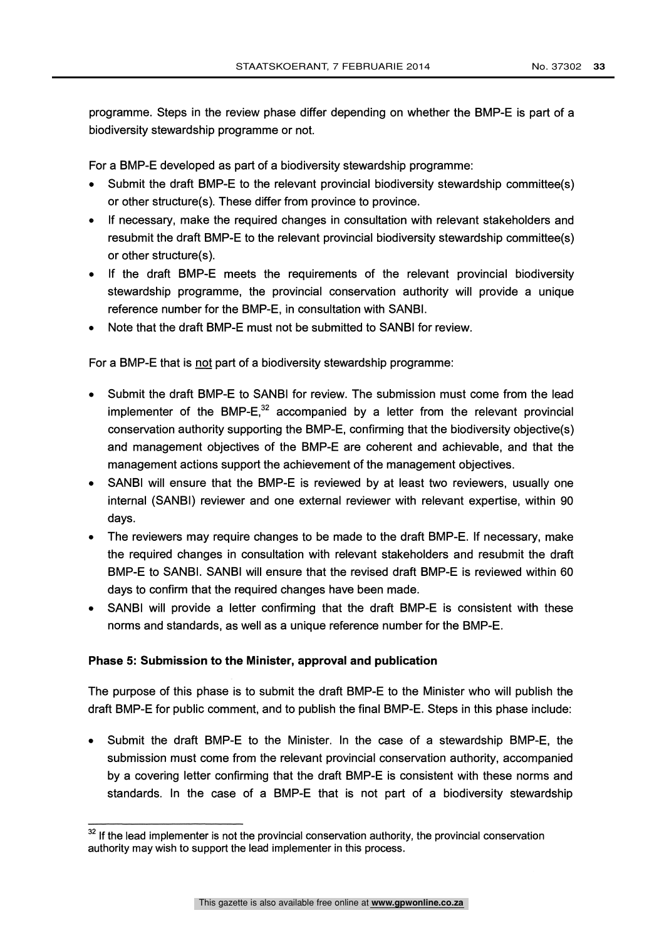programme. Steps in the review phase differ depending on whether the BMP-E is part of a biodiversity stewardship programme or not.

For a BMP-E developed as part of a biodiversity stewardship programme:

- Submit the draft BMP-E to the relevant provincial biodiversity stewardship committee(s) or other structure(s). These differ from province to province.
- If necessary, make the required changes in consultation with relevant stakeholders and resubmit the draft BMP-E to the relevant provincial biodiversity stewardship committee(s) or other structure(s).
- If the draft BMP-E meets the requirements of the relevant provincial biodiversity stewardship programme, the provincial conservation authority will provide a unique reference number for the BMP-E, in consultation with SANBI.
- Note that the draft BMP-E must not be submitted to SANBI for review.

For a BMP-E that is not part of a biodiversity stewardship programme:

- Submit the draft BMP-E to SANBI for review. The submission must come from the lead implementer of the BMP-E. $32$  accompanied by a letter from the relevant provincial conservation authority supporting the BMP-E, confirming that the biodiversity objective(s) and management objectives of the BMP-E are coherent and achievable, and that the management actions support the achievement of the management objectives.
- SANBI will ensure that the BMP-E is reviewed by at least two reviewers, usually one internal (SANBI) reviewer and one external reviewer with relevant expertise, within 90 days.
- The reviewers may require changes to be made to the draft BMP-E. If necessary, make the required changes in consultation with relevant stakeholders and resubmit the draft BMP-E to SANBI. SANBI will ensure that the revised draft BMP-E is reviewed within 60 days to confirm that the required changes have been made.
- SANBI will provide a letter confirming that the draft BMP-E is consistent with these norms and standards, as well as a unique reference number for the BMP-E.

#### Phase 5: Submission to the Minister, approval and publication

The purpose of this phase is to submit the draft BMP-E to the Minister who will publish the draft BMP-E for public comment, and to publish the final BMP-E. Steps in this phase include:

Submit the draft BMP-E to the Minister. In the case of a stewardship BMP-E, the submission must come from the relevant provincial conservation authority, accompanied by a covering letter confirming that the draft BMP-E is consistent with these norms and standards. In the case of a BMP-E that is not part of a biodiversity stewardship

 $32$  If the lead implementer is not the provincial conservation authority, the provincial conservation authority may wish to support the lead implementer in this process.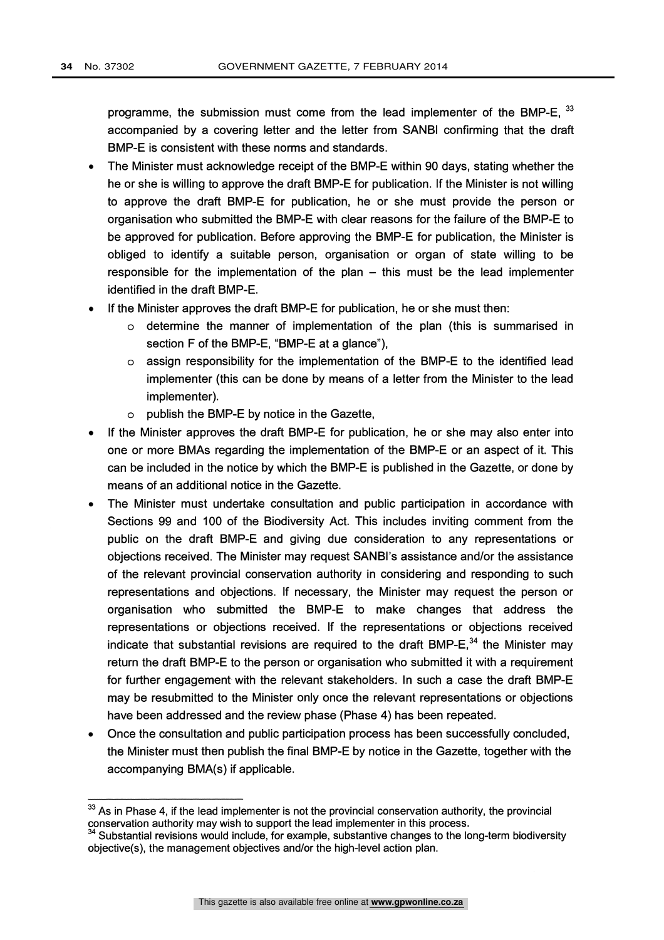programme, the submission must come from the lead implementer of the BMP-E,  $^{33}$ accompanied by a covering letter and the letter from SANBI confirming that the draft BMP-E is consistent with these norms and standards.

- The Minister must acknowledge receipt of the BMP-E within 90 days, stating whether the he or she is willing to approve the draft BMP-E for publication. If the Minister is not willing to approve the draft BMP-E for publication, he or she must provide the person or organisation who submitted the BMP-E with clear reasons for the failure of the BMP-E to be approved for publication. Before approving the BMP-E for publication, the Minister is obliged to identify a suitable person, organisation or organ of state willing to be responsible for the implementation of the plan  $-$  this must be the lead implementer identified in the draft BMP-E.
- If the Minister approves the draft BMP-E for publication, he or she must then:
	- o determine the manner of implementation of the plan (this is summarised in section F of the BMP-E, "BMP-E at a glance"),
	- o assign responsibility for the implementation of the BMP-E to the identified lead implementer (this can be done by means of a letter from the Minister to the lead implementer).
	- o publish the BMP-E by notice in the Gazette,
- If the Minister approves the draft BMP-E for publication, he or she may also enter into one or more BMAs regarding the implementation of the BMP-E or an aspect of it. This can be included in the notice by which the BMP-E is published in the Gazette, or done by means of an additional notice in the Gazette.
- The Minister must undertake consultation and public participation in accordance with Sections 99 and 100 of the Biodiversity Act. This includes inviting comment from the public on the draft BMP-E and giving due consideration to any representations or objections received. The Minister may request SANBI's assistance and/or the assistance of the relevant provincial conservation authority in considering and responding to such representations and objections. If necessary, the Minister may request the person or organisation who submitted the BMP-E to make changes that address the representations or objections received. If the representations or objections received indicate that substantial revisions are required to the draft BMP- $E^{34}$  the Minister may return the draft BMP-E to the person or organisation who submitted it with a requirement for further engagement with the relevant stakeholders. In such a case the draft BMP-E may be resubmitted to the Minister only once the relevant representations or objections have been addressed and the review phase (Phase 4) has been repeated.
- Once the consultation and public participation process has been successfully concluded, the Minister must then publish the final BMP-E by notice in the Gazette, together with the accompanying BMA(s) if applicable.

<sup>&</sup>lt;sup>33</sup> As in Phase 4, if the lead implementer is not the provincial conservation authority, the provincial conservation authority may wish to support the lead implementer in this process.

 $34$  Substantial revisions would include, for example, substantive changes to the long-term biodiversity objective(s), the management objectives and/or the high-level action plan.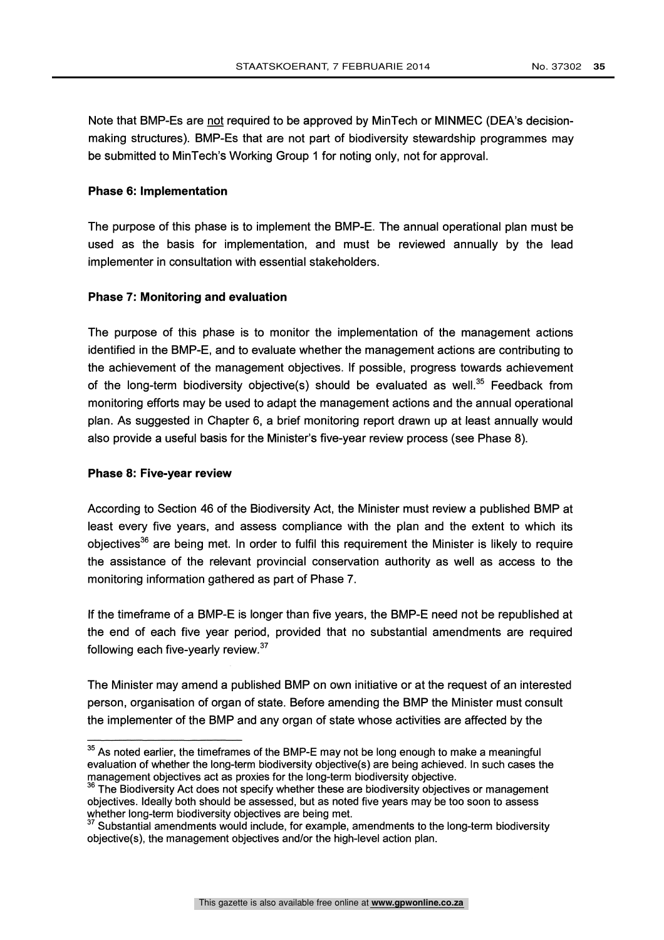Note that BMP-Es are not required to be approved by Min Tech or MINMEC (DEA's decisionmaking structures). BMP-Es that are not part of biodiversity stewardship programmes may be submitted to Min Tech's Working Group 1 for noting only, not for approval.

#### Phase 6: Implementation

The purpose of this phase is to implement the BMP-E. The annual operational plan must be used as the basis for implementation, and must be reviewed annually by the lead implementer in consultation with essential stakeholders.

#### Phase 7: Monitoring and evaluation

The purpose of this phase is to monitor the implementation of the management actions identified in the BMP-E, and to evaluate whether the management actions are contributing to the achievement of the management objectives. If possible, progress towards achievement of the long-term biodiversity objective(s) should be evaluated as well.<sup>35</sup> Feedback from monitoring efforts may be used to adapt the management actions and the annual operational plan. As suggested in Chapter 6, a brief monitoring report drawn up at least annually would also provide a useful basis for the Minister's five-year review process (see Phase 8).

#### Phase 8: Five-year review

According to Section 46 of the Biodiversity Act, the Minister must review a published BMP at least every five years, and assess compliance with the plan and the extent to which its objectives<sup>36</sup> are being met. In order to fulfil this requirement the Minister is likely to require the assistance of the relevant provincial conservation authority as well as access to the monitoring information gathered as part of Phase 7.

If the timeframe of a BMP-E is longer than five years, the BMP-E need not be republished at the end of each five year period, provided that no substantial amendments are required following each five-yearly review.<sup>37</sup>

The Minister may amend a published BMP on own initiative or at the request of an interested person, organisation of organ of state. Before amending the BMP the Minister must consult the implementer of the BMP and any organ of state whose activities are affected by the

 $35$  As noted earlier, the timeframes of the BMP-E may not be long enough to make a meaningful evaluation of whether the long-term biodiversity objective(s) are being achieved. In such cases the management objectives act as proxies for the long-term biodiversity objective.

<sup>36</sup> The Biodiversity Act does not specify whether these are biodiversity objectives or management objectives. Ideally both should be assessed, but as noted five years may be too soon to assess whether long-term biodiversity objectives are being met.

 $37$  Substantial amendments would include, for example, amendments to the long-term biodiversity objective(s), the management objectives and/or the high-level action plan.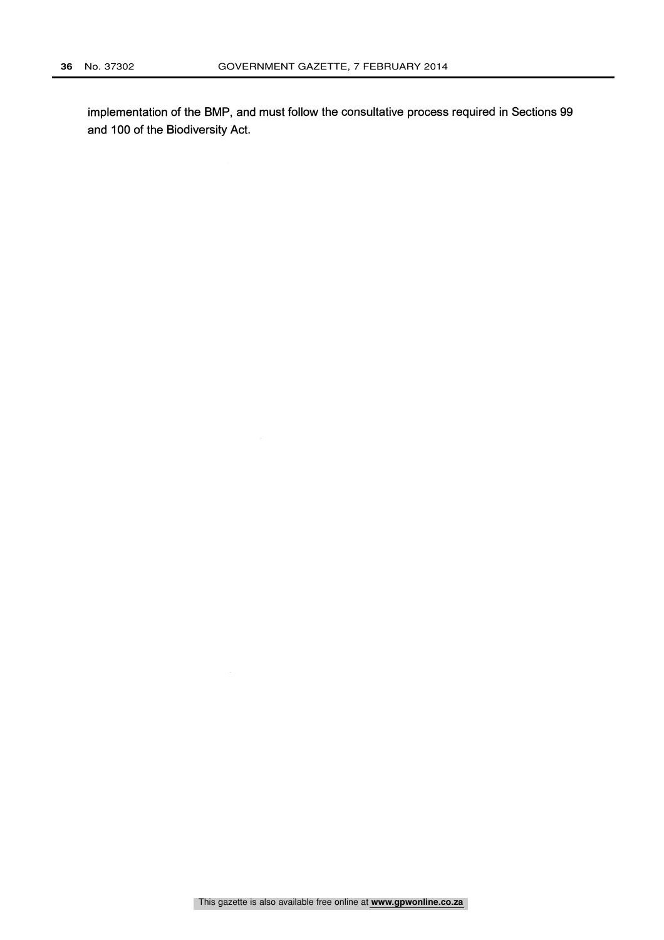implementation of the BMP, and must follow the consultative process required in Sections 99 and 100 of the Biodiversity Act.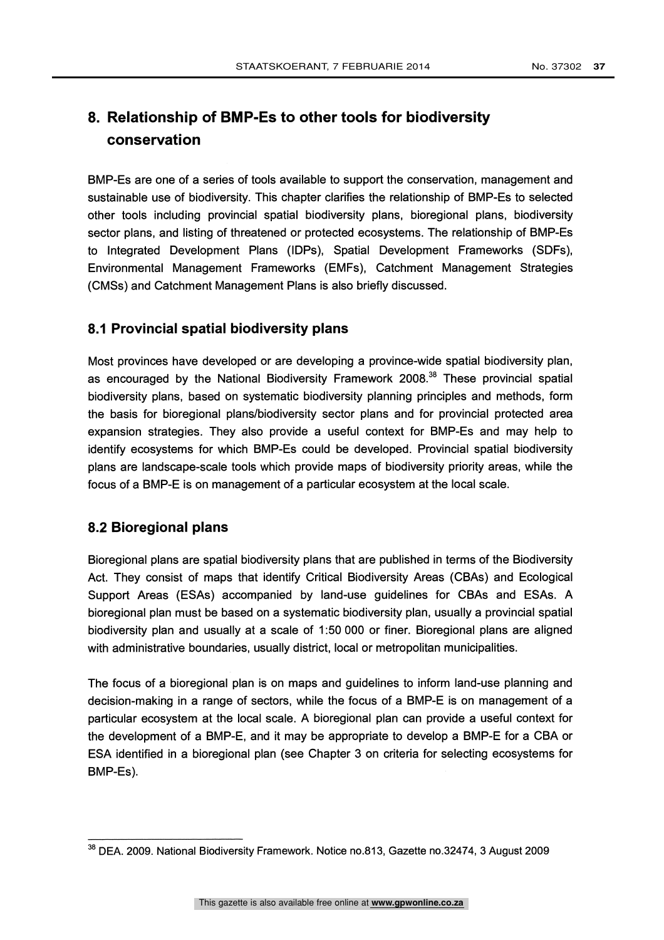### 8. Relationship of BMP-Es to other tools for biodiversity conservation

BMP-Es are one of a series of tools available to support the conservation, management and sustainable use of biodiversity. This chapter clarifies the relationship of BMP-Es to selected other tools including provincial spatial biodiversity plans, bioregional plans, biodiversity sector plans, and listing of threatened or protected ecosystems. The relationship of BMP-Es to Integrated Development Plans (IDPs), Spatial Development Frameworks (SDFs), Environmental Management Frameworks (EMFs), Catchment Management Strategies (CMSs) and Catchment Management Plans is also briefly discussed.

### 8.1 Provincial spatial biodiversity plans

Most provinces have developed or are developing a province-wide spatial biodiversity plan, as encouraged by the National Biodiversity Framework 2008.<sup>38</sup> These provincial spatial biodiversity plans, based on systematic biodiversity planning principles and methods, form the basis for bioregional plans/biodiversity sector plans and for provincial protected area expansion strategies. They also provide a useful context for BMP-Es and may help to identify ecosystems for which BMP-Es could be developed. Provincial spatial biodiversity plans are landscape-scale tools which provide maps of biodiversity priority areas, while the focus of a BMP-E is on management of a particular ecosystem at the local scale.

#### 8.2 Bioregional plans

Bioregional plans are spatial biodiversity plans that are published in terms of the Biodiversity Act. They consist of maps that identify Critical Biodiversity Areas (CBAs) and Ecological Support Areas (ESAs) accompanied by land-use guidelines for CBAs and ESAs. A bioregional plan must be based on a systematic biodiversity plan, usually a provincial spatial biodiversity plan and usually at a scale of 1:50 000 or finer. Bioregional plans are aligned with administrative boundaries, usually district, local or metropolitan municipalities.

The focus of a bioregional plan is on maps and guidelines to inform land-use planning and decision-making in a range of sectors, while the focus of a BMP-E is on management of a particular ecosystem at the local scale. A bioregional plan can provide a useful context for the development of a BMP-E, and it may be appropriate to develop a BMP-E for a CBA or ESA identified in a bioregional plan (see Chapter 3 on criteria for selecting ecosystems for BMP-Es).

<sup>38</sup> DEA. 2009. National Biodiversity Framework. Notice no.813, Gazette no.32474, 3 August 2009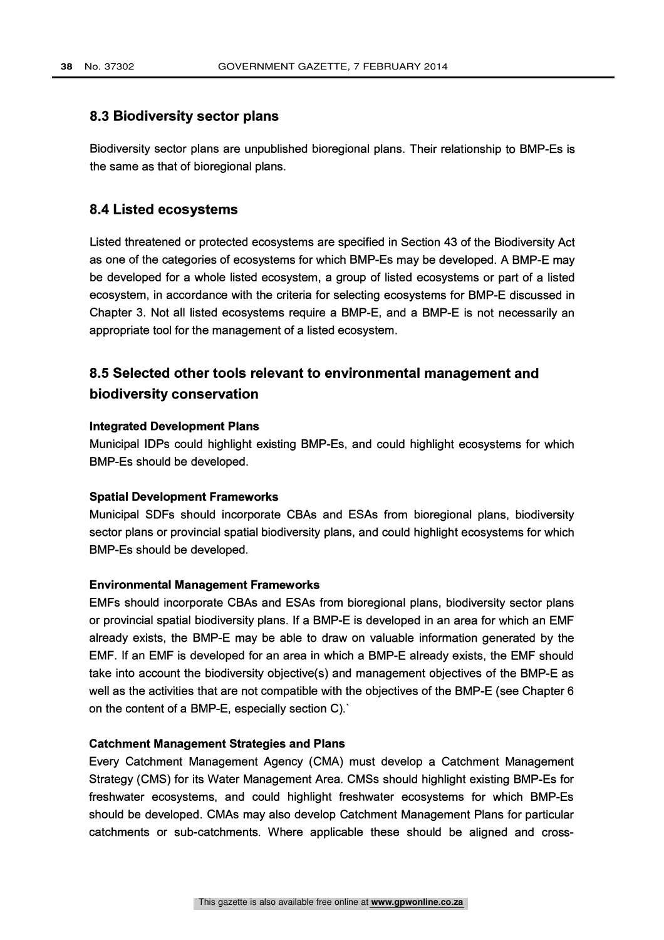#### 8.3 Biodiversity sector plans

Biodiversity sector plans are unpublished bioregional plans. Their relationship to BMP-Es is the same as that of bioregional plans.

#### 8.4 Listed ecosystems

Listed threatened or protected ecosystems are specified in Section 43 of the Biodiversity Act as one of the categories of ecosystems for which BMP-Es may be developed. A BMP-E may be developed for a whole listed ecosystem, a group of listed ecosystems or part of a listed ecosystem, in accordance with the criteria for selecting ecosystems for BMP-E discussed in Chapter 3. Not all listed ecosystems require a BMP-E, and a BMP-E is not necessarily an appropriate tool for the management of a listed ecosystem.

### 8.5 Selected other tools relevant to environmental management and biodiversity conservation

#### Integrated Development Plans

Municipal IDPs could highlight existing BMP-Es, and could highlight ecosystems for which BMP-Es should be developed.

#### Spatial Development Frameworks

Municipal SDFs should incorporate CBAs and ESAs from bioregional plans, biodiversity sector plans or provincial spatial biodiversity plans, and could highlight ecosystems for which BMP-Es should be developed.

#### Environmental Management Frameworks

EMFs should incorporate CBAs and ESAs from bioregional plans, biodiversity sector plans or provincial spatial biodiversity plans. If a BMP-E is developed in an area for which an EMF already exists, the BMP-E may be able to draw on valuable information generated by the EMF. If an EMF is developed for an area in which a BMP-E already exists, the EMF should take into account the biodiversity objective(s) and management objectives of the BMP-E as well as the activities that are not compatible with the objectives of the BMP-E (see Chapter 6 on the content of a BMP-E, especially section C).'

#### Catchment Management Strategies and Plans

Every Catchment Management Agency (CMA) must develop a Catchment Management Strategy (CMS) for its Water Management Area. CMSs should highlight existing BMP-Es for freshwater ecosystems, and could highlight freshwater ecosystems for which BMP-Es should be developed. CMAs may also develop Catchment Management Plans for particular catchments or sub-catchments. Where applicable these should be aligned and cross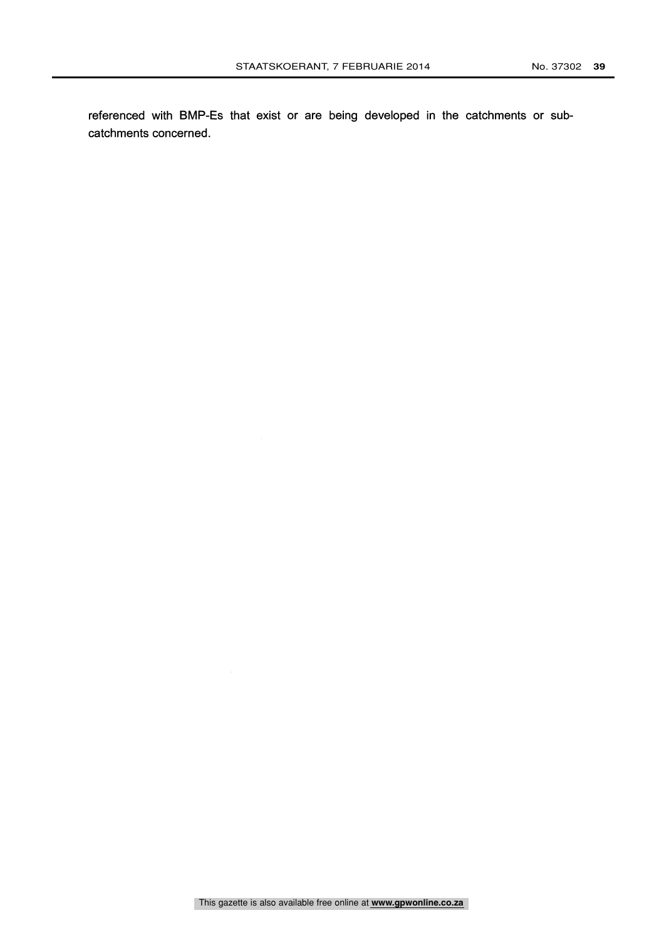referenced with BMP-Es that exist or are being developed in the catchments or subcatchments concerned.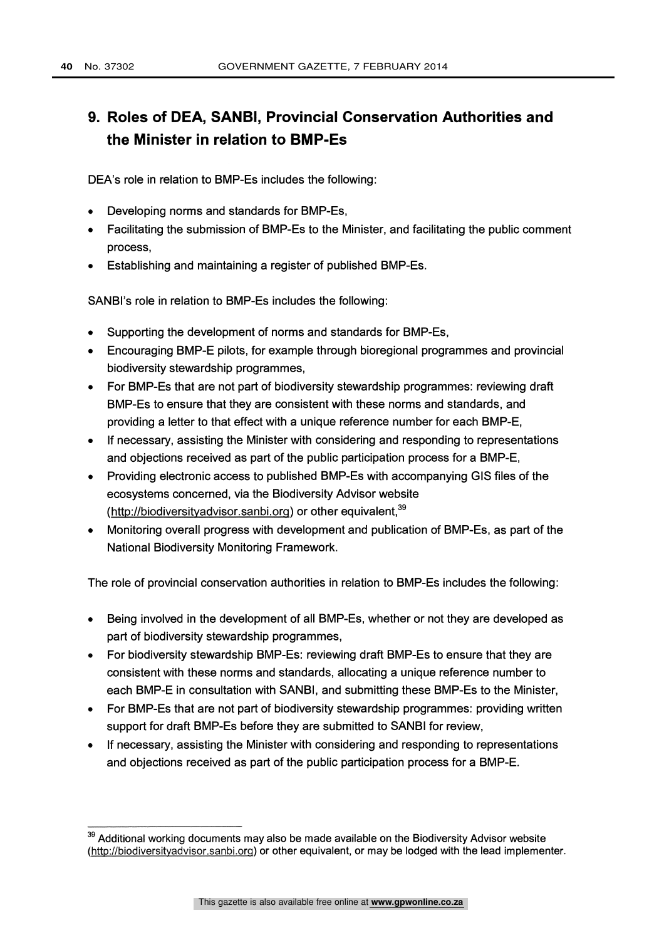### 9. Roles of DEA, SANBI, Provincial Conservation Authorities and the Minister in relation to BMP-Es

DEA's role in relation to BMP-Es includes the following:

- Developing norms and standards for BMP-Es,
- Facilitating the submission of BMP-Es to the Minister, and facilitating the public comment process,
- Establishing and maintaining a register of published BMP-Es.

SANBI's role in relation to BMP-Es includes the following:

- Supporting the development of norms and standards for BMP-Es,
- Encouraging BMP-E pilots, for example through bioregional programmes and provincial biodiversity stewardship programmes,
- For BMP-Es that are not part of biodiversity stewardship programmes: reviewing draft BMP-Es to ensure that they are consistent with these norms and standards, and providing a letter to that effect with a unique reference number for each BMP-E,
- If necessary, assisting the Minister with considering and responding to representations and objections received as part of the public participation process for a BMP-E,
- Providing electronic access to published BMP-Es with accompanying GIS files of the ecosystems concerned, via the Biodiversity Advisor website (http://biodiversityadvisor.sanbi.org) or other equivalent.<sup>39</sup>
- Monitoring overall progress with development and publication of BMP-Es, as part of the National Biodiversity Monitoring Framework.

The role of provincial conservation authorities in relation to BMP-Es includes the following:

- Being involved in the development of all BMP-Es, whether or not they are developed as part of biodiversity stewardship programmes,
- For biodiversity stewardship BMP-Es: reviewing draft BMP-Es to ensure that they are consistent with these norms and standards, allocating a unique reference number to each BMP-E in consultation with SANBI, and submitting these BMP-Es to the Minister,
- For BMP-Es that are not part of biodiversity stewardship programmes: providing written support for draft BMP-Es before they are submitted to SANBI for review,
- If necessary, assisting the Minister with considering and responding to representations and objections received as part of the public participation process for a BMP-E.

 $39$  Additional working documents may also be made available on the Biodiversity Advisor website (http://biodiversityadvisor.sanbi.orq) or other equivalent, or may be lodged with the lead implementer.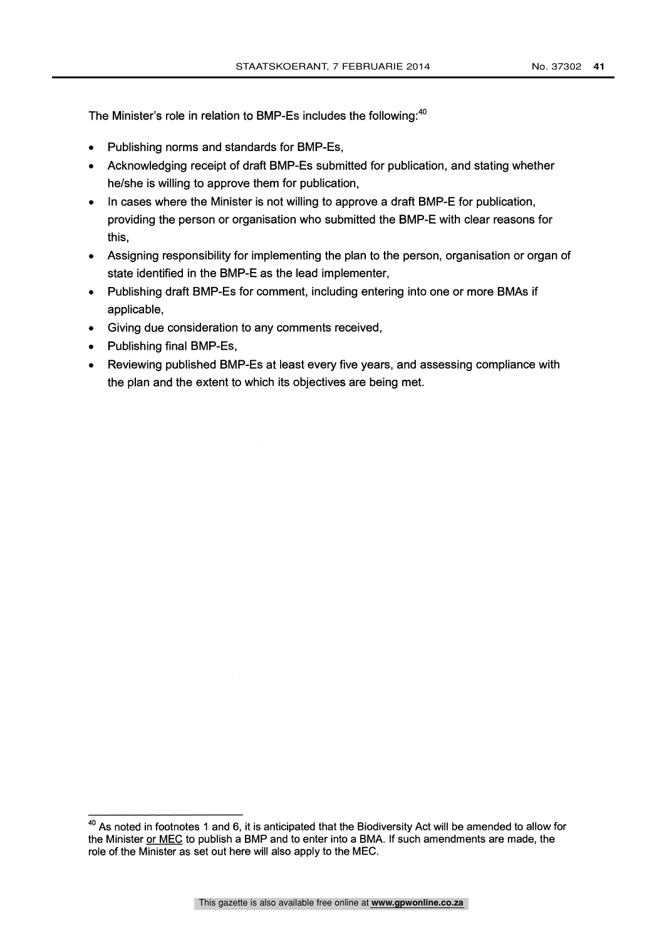The Minister's role in relation to BMP-Es includes the following:<sup>40</sup>

- Publishing norms and standards for BMP-Es,
- Acknowledging receipt of draft BMP-Es submitted for publication, and stating whether he/she is willing to approve them for publication,
- In cases where the Minister is not willing to approve a draft BMP-E for publication, providing the person or organisation who submitted the BMP-E with clear reasons for this,
- Assigning responsibility for implementing the plan to the person, organisation or organ of state identified in the BMP-E as the lead implementer,
- Publishing draft BMP-Es for comment, including entering into one or more BMAs if applicable,
- Giving due consideration to any comments received,
- Publishing final BMP-Es,
- Reviewing published BMP-Es at least every five years, and assessing compliance with the plan and the extent to which its objectives are being met.

<sup>&</sup>lt;sup>40</sup> As noted in footnotes 1 and 6, it is anticipated that the Biodiversity Act will be amended to allow for the Minister or MEC to publish a BMP and to enter into a BMA. If such amendments are made, the role of the Minister as set out here will also apply to the MEC.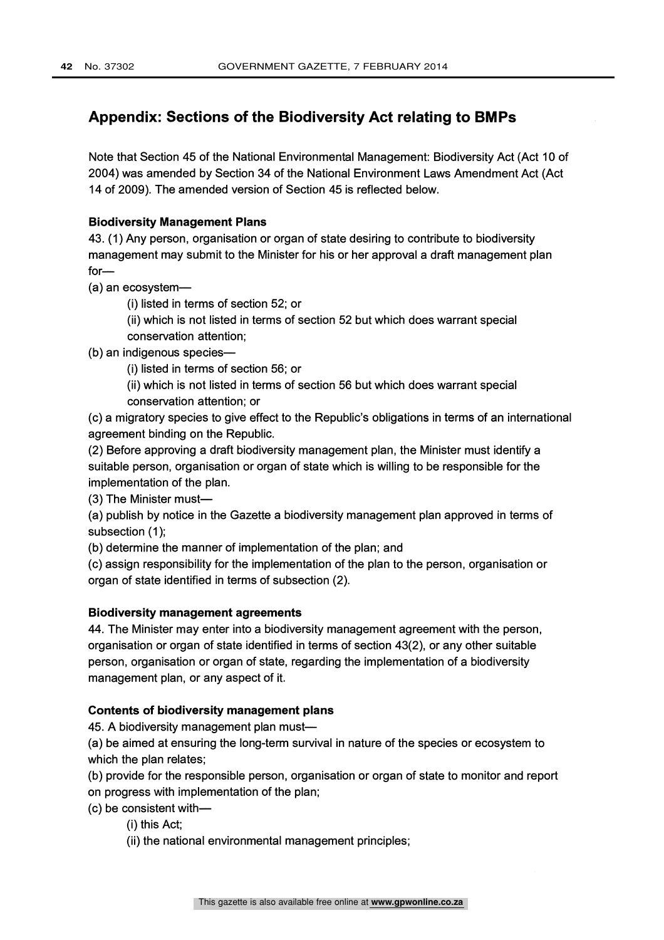### Appendix: Sections of the Biodiversity Act relating to BMPs

Note that Section 45 of the National Environmental Management: Biodiversity Act (Act 10 of 2004) was amended by Section 34 of the National Environment Laws Amendment Act (Act 14 of 2009). The amended version of Section 45 is reflected below.

#### Biodiversity Management Plans

43. (1) Any person, organisation or organ of state desiring to contribute to biodiversity management may submit to the Minister for his or her approval a draft management plan for-

(a) an ecosystem-

(i) listed in terms of section 52; or

(ii) which is not listed in terms of section 52 but which does warrant special conservation attention;

- (b) an indigenous species-
	- (i) listed in terms of section 56; or
	- (ii) which is not listed in terms of section 56 but which does warrant special conservation attention; or

(c) a migratory species to give effect to the Republic's obligations in terms of an international agreement binding on the Republic.

(2) Before approving a draft biodiversity management plan, the Minister must identify a suitable person, organisation or organ of state which is willing to be responsible for the implementation of the plan.

(3) The Minister must-

(a) publish by notice in the Gazette a biodiversity management plan approved in terms of subsection (1);

(b) determine the manner of implementation of the plan; and

(c) assign responsibility for the implementation of the plan to the person, organisation or organ of state identified in terms of subsection (2).

#### Biodiversity management agreements

44. The Minister may enter into a biodiversity management agreement with the person, organisation or organ of state identified in terms of section 43(2), or any other suitable person, organisation or organ of state, regarding the implementation of a biodiversity management plan, or any aspect of it.

#### Contents of biodiversity management plans

45. A biodiversity management plan must-

(a) be aimed at ensuring the long-term survival in nature of the species or ecosystem to which the plan relates;

(b) provide for the responsible person, organisation or organ of state to monitor and report on progress with implementation of the plan;

(c) be consistent with-

(i) this Act;

(ii) the national environmental management principles;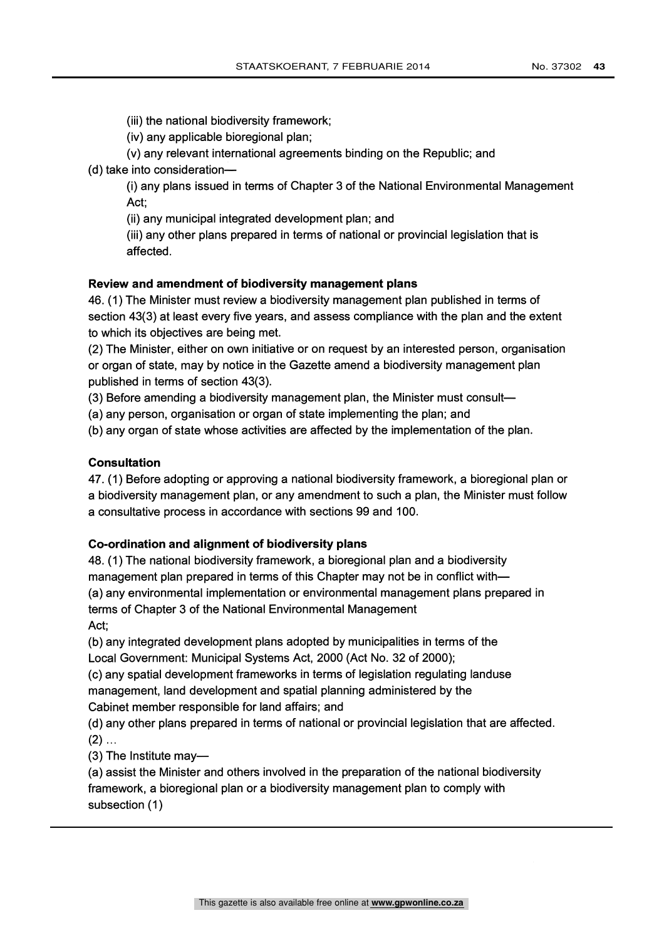- (iii) the national biodiversity framework;
- (iv) any applicable bioregional plan;

(v) any relevant international agreements binding on the Republic; and

(d) take into consideration-

(i) any plans issued in terms of Chapter 3 of the National Environmental Management Act;

(ii) any municipal integrated development plan; and

(iii) any other plans prepared in terms of national or provincial legislation that is affected.

#### Review and amendment of biodiversity management plans

46. (1) The Minister must review a biodiversity management plan published in terms of section 43(3) at least every five years, and assess compliance with the plan and the extent to which its objectives are being met.

(2) The Minister, either on own initiative or on request by an interested person, organisation or organ of state, may by notice in the Gazette amend a biodiversity management plan published in terms of section 43(3).

(3) Before amending a biodiversity management plan, the Minister must consult-

(a) any person, organisation or organ of state implementing the plan; and

(b) any organ of state whose activities are affected by the implementation of the plan.

#### Consultation

47. (1) Before adopting or approving a national biodiversity framework, a bioregional plan or a biodiversity management plan, or any amendment to such a plan, the Minister must follow a consultative process in accordance with sections 99 and 100.

#### Co-ordination and alignment of biodiversity plans

48. (1) The national biodiversity framework, a bioregional plan and a biodiversity management plan prepared in terms of this Chapter may not be in conflict with-(a) any environmental implementation or environmental management plans prepared in terms of Chapter 3 of the National Environmental Management Act;

(b) any integrated development plans adopted by municipalities in terms of the Local Government: Municipal Systems Act, 2000 (Act No. 32 of 2000);

(c) any spatial development frameworks in terms of legislation regulating landuse management, land development and spatial planning administered by the Cabinet member responsible for land affairs; and

(d) any other plans prepared in terms of national or provincial legislation that are affected.  $(2)$  ...

(3) The Institute may-

(a) assist the Minister and others involved in the preparation of the national biodiversity framework, a bioregional plan or a biodiversity management plan to comply with subsection (1)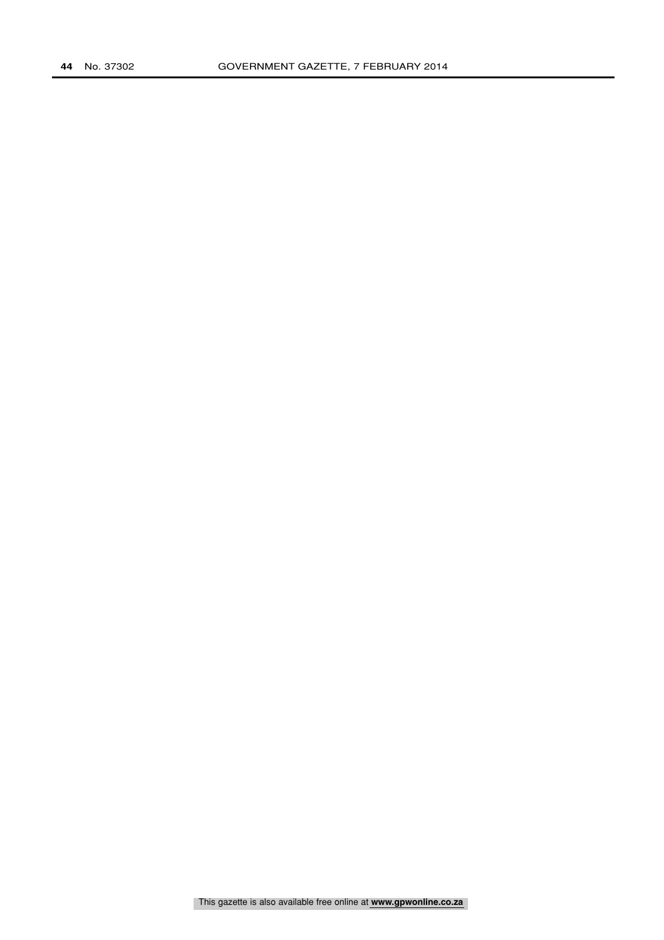This gazette is also available free online at **www.gpwonline.co.za**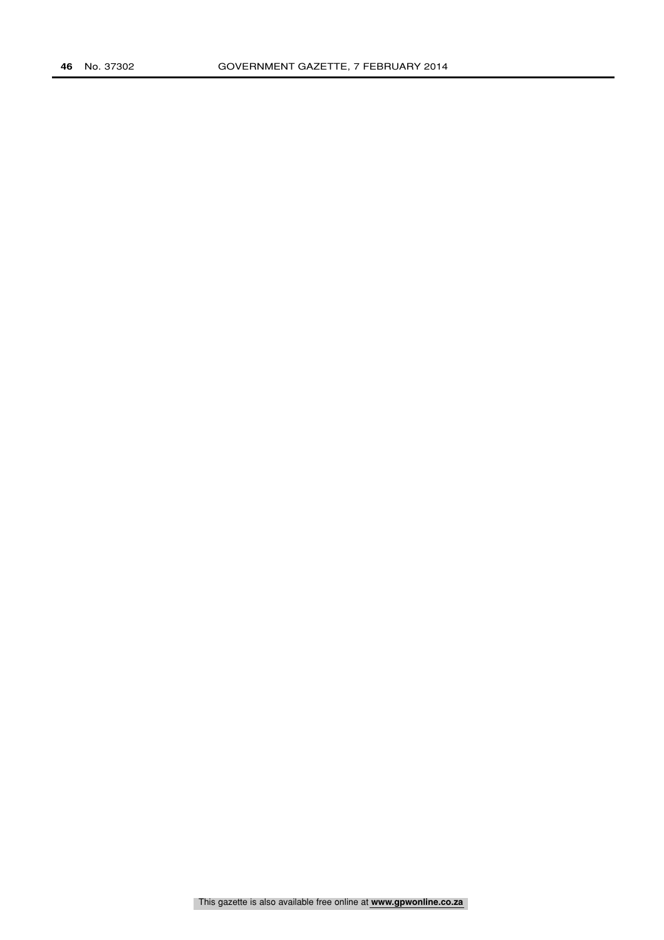This gazette is also available free online at **www.gpwonline.co.za**